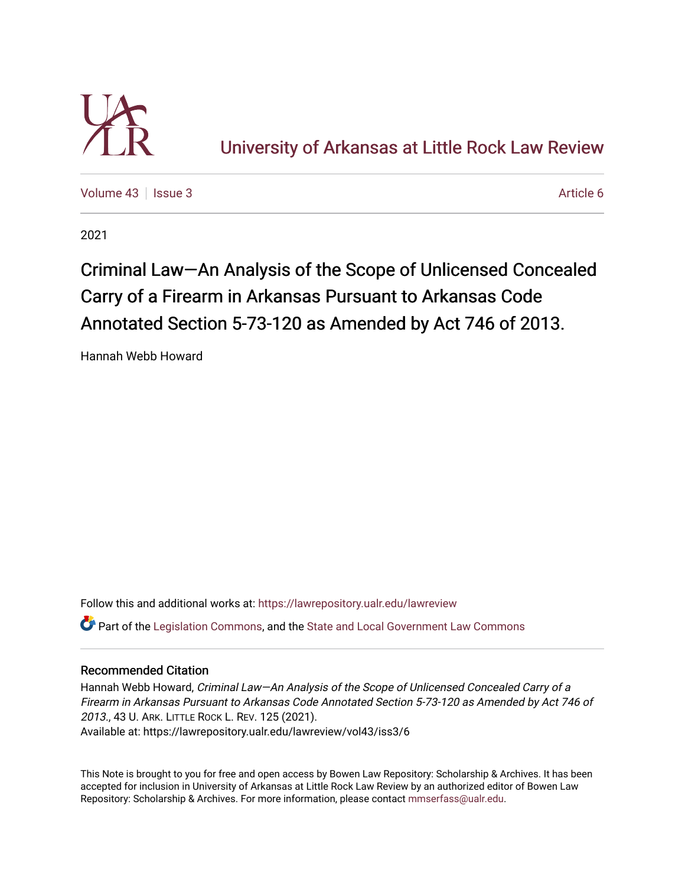

[Volume 43](https://lawrepository.ualr.edu/lawreview/vol43) | [Issue 3](https://lawrepository.ualr.edu/lawreview/vol43/iss3) Article 6

2021

# Criminal Law—An Analysis of the Scope of Unlicensed Concealed Carry of a Firearm in Arkansas Pursuant to Arkansas Code Annotated Section 5-73-120 as Amended by Act 746 of 2013.

Hannah Webb Howard

Follow this and additional works at: [https://lawrepository.ualr.edu/lawreview](https://lawrepository.ualr.edu/lawreview?utm_source=lawrepository.ualr.edu%2Flawreview%2Fvol43%2Fiss3%2F6&utm_medium=PDF&utm_campaign=PDFCoverPages)  Part of the [Legislation Commons](https://network.bepress.com/hgg/discipline/859?utm_source=lawrepository.ualr.edu%2Flawreview%2Fvol43%2Fiss3%2F6&utm_medium=PDF&utm_campaign=PDFCoverPages), and the [State and Local Government Law Commons](https://network.bepress.com/hgg/discipline/879?utm_source=lawrepository.ualr.edu%2Flawreview%2Fvol43%2Fiss3%2F6&utm_medium=PDF&utm_campaign=PDFCoverPages) 

## Recommended Citation

Hannah Webb Howard, Criminal Law-An Analysis of the Scope of Unlicensed Concealed Carry of a Firearm in Arkansas Pursuant to Arkansas Code Annotated Section 5-73-120 as Amended by Act 746 of 2013., 43 U. ARK. LITTLE ROCK L. REV. 125 (2021). Available at: https://lawrepository.ualr.edu/lawreview/vol43/iss3/6

This Note is brought to you for free and open access by Bowen Law Repository: Scholarship & Archives. It has been accepted for inclusion in University of Arkansas at Little Rock Law Review by an authorized editor of Bowen Law Repository: Scholarship & Archives. For more information, please contact [mmserfass@ualr.edu](mailto:mmserfass@ualr.edu).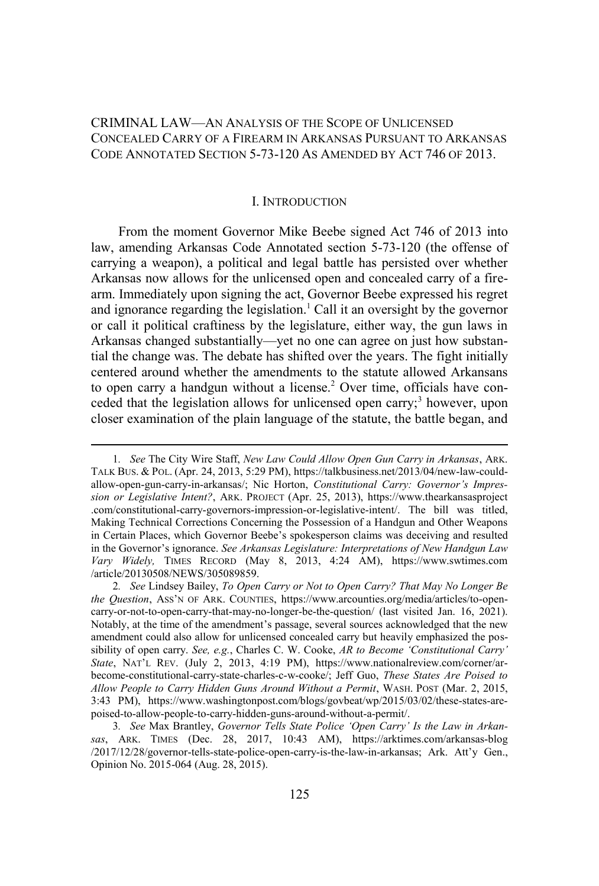## CRIMINAL LAW—AN ANALYSIS OF THE SCOPE OF UNLICENSED CONCEALED CARRY OF A FIREARM IN ARKANSAS PURSUANT TO ARKANSAS CODE ANNOTATED SECTION 5-73-120 AS AMENDED BY ACT 746 OF 2013.

#### I. INTRODUCTION

From the moment Governor Mike Beebe signed Act 746 of 2013 into law, amending Arkansas Code Annotated section 5-73-120 (the offense of carrying a weapon), a political and legal battle has persisted over whether Arkansas now allows for the unlicensed open and concealed carry of a firearm. Immediately upon signing the act, Governor Beebe expressed his regret and ignorance regarding the legislation.<sup>1</sup> Call it an oversight by the governor or call it political craftiness by the legislature, either way, the gun laws in Arkansas changed substantially—yet no one can agree on just how substantial the change was. The debate has shifted over the years. The fight initially centered around whether the amendments to the statute allowed Arkansans to open carry a handgun without a license.<sup>2</sup> Over time, officials have conceded that the legislation allows for unlicensed open carry;<sup>3</sup> however, upon closer examination of the plain language of the statute, the battle began, and

<sup>1</sup>*. See* The City Wire Staff, *New Law Could Allow Open Gun Carry in Arkansas*, ARK. TALK BUS. & POL. (Apr. 24, 2013, 5:29 PM), https://talkbusiness.net/2013/04/new-law-couldallow-open-gun-carry-in-arkansas/; Nic Horton, *Constitutional Carry: Governor's Impression or Legislative Intent?*, ARK. PROJECT (Apr. 25, 2013), https://www.thearkansasproject .com/constitutional-carry-governors-impression-or-legislative-intent/. The bill was titled, Making Technical Corrections Concerning the Possession of a Handgun and Other Weapons in Certain Places, which Governor Beebe's spokesperson claims was deceiving and resulted in the Governor's ignorance. *See Arkansas Legislature: Interpretations of New Handgun Law Vary Widely,* TIMES RECORD (May 8, 2013, 4:24 AM), https://www.swtimes.com /article/20130508/NEWS/305089859.

<sup>2</sup>*. See* Lindsey Bailey, *To Open Carry or Not to Open Carry? That May No Longer Be the Question*, ASS'N OF ARK. COUNTIES, https://www.arcounties.org/media/articles/to-opencarry-or-not-to-open-carry-that-may-no-longer-be-the-question/ (last visited Jan. 16, 2021). Notably, at the time of the amendment's passage, several sources acknowledged that the new amendment could also allow for unlicensed concealed carry but heavily emphasized the possibility of open carry. *See, e.g.*, Charles C. W. Cooke, *AR to Become 'Constitutional Carry' State*, NAT'L REV. (July 2, 2013, 4:19 PM), https://www.nationalreview.com/corner/arbecome-constitutional-carry-state-charles-c-w-cooke/; Jeff Guo, *These States Are Poised to Allow People to Carry Hidden Guns Around Without a Permit*, WASH. POST (Mar. 2, 2015, 3:43 PM), https://www.washingtonpost.com/blogs/govbeat/wp/2015/03/02/these-states-arepoised-to-allow-people-to-carry-hidden-guns-around-without-a-permit/.

<sup>3</sup>*. See* Max Brantley, *Governor Tells State Police 'Open Carry' Is the Law in Arkansas*, ARK. TIMES (Dec. 28, 2017, 10:43 AM), https://arktimes.com/arkansas-blog /2017/12/28/governor-tells-state-police-open-carry-is-the-law-in-arkansas; Ark. Att'y Gen., Opinion No. 2015-064 (Aug. 28, 2015).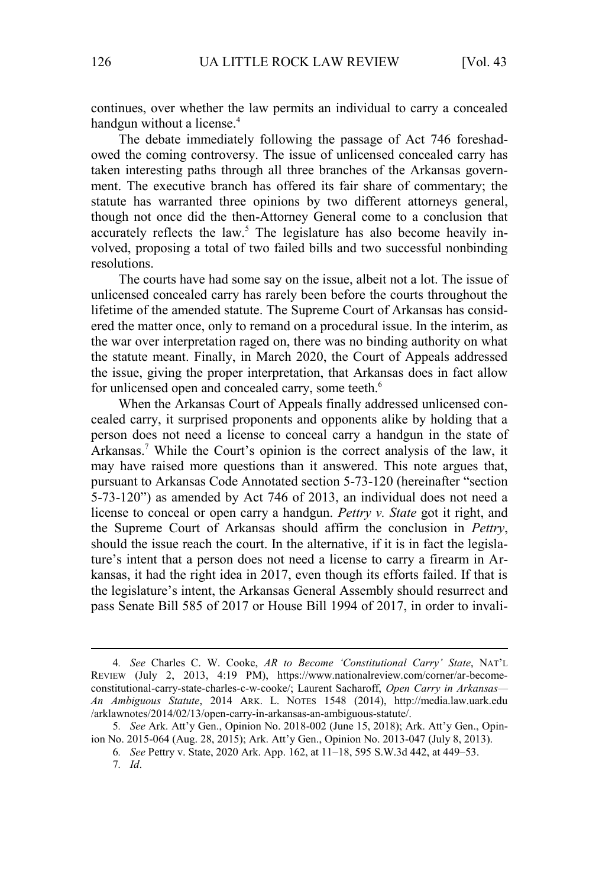continues, over whether the law permits an individual to carry a concealed handgun without a license.<sup>4</sup>

The debate immediately following the passage of Act 746 foreshadowed the coming controversy. The issue of unlicensed concealed carry has taken interesting paths through all three branches of the Arkansas government. The executive branch has offered its fair share of commentary; the statute has warranted three opinions by two different attorneys general, though not once did the then-Attorney General come to a conclusion that accurately reflects the law.<sup>5</sup> The legislature has also become heavily involved, proposing a total of two failed bills and two successful nonbinding resolutions.

The courts have had some say on the issue, albeit not a lot. The issue of unlicensed concealed carry has rarely been before the courts throughout the lifetime of the amended statute. The Supreme Court of Arkansas has considered the matter once, only to remand on a procedural issue. In the interim, as the war over interpretation raged on, there was no binding authority on what the statute meant. Finally, in March 2020, the Court of Appeals addressed the issue, giving the proper interpretation, that Arkansas does in fact allow for unlicensed open and concealed carry, some teeth.<sup>6</sup>

When the Arkansas Court of Appeals finally addressed unlicensed concealed carry, it surprised proponents and opponents alike by holding that a person does not need a license to conceal carry a handgun in the state of Arkansas.<sup>7</sup> While the Court's opinion is the correct analysis of the law, it may have raised more questions than it answered. This note argues that, pursuant to Arkansas Code Annotated section 5-73-120 (hereinafter "section 5-73-120") as amended by Act 746 of 2013, an individual does not need a license to conceal or open carry a handgun. *Pettry v. State* got it right, and the Supreme Court of Arkansas should affirm the conclusion in *Pettry*, should the issue reach the court. In the alternative, if it is in fact the legislature's intent that a person does not need a license to carry a firearm in Arkansas, it had the right idea in 2017, even though its efforts failed. If that is the legislature's intent, the Arkansas General Assembly should resurrect and pass Senate Bill 585 of 2017 or House Bill 1994 of 2017, in order to invali-

<sup>4</sup>*. See* Charles C. W. Cooke, *AR to Become 'Constitutional Carry' State*, NAT'L REVIEW (July 2, 2013, 4:19 PM), https://www.nationalreview.com/corner/ar-becomeconstitutional-carry-state-charles-c-w-cooke/; Laurent Sacharoff, *Open Carry in Arkansas— An Ambiguous Statute*, 2014 ARK. L. NOTES 1548 (2014), http://media.law.uark.edu /arklawnotes/2014/02/13/open-carry-in-arkansas-an-ambiguous-statute/.

<sup>5</sup>*. See* Ark. Att'y Gen., Opinion No. 2018-002 (June 15, 2018); Ark. Att'y Gen., Opinion No. 2015-064 (Aug. 28, 2015); Ark. Att'y Gen., Opinion No. 2013-047 (July 8, 2013).

<sup>6</sup>*. See* Pettry v. State, 2020 Ark. App. 162, at 11–18, 595 S.W.3d 442, at 449–53.

<sup>7</sup>*. Id*.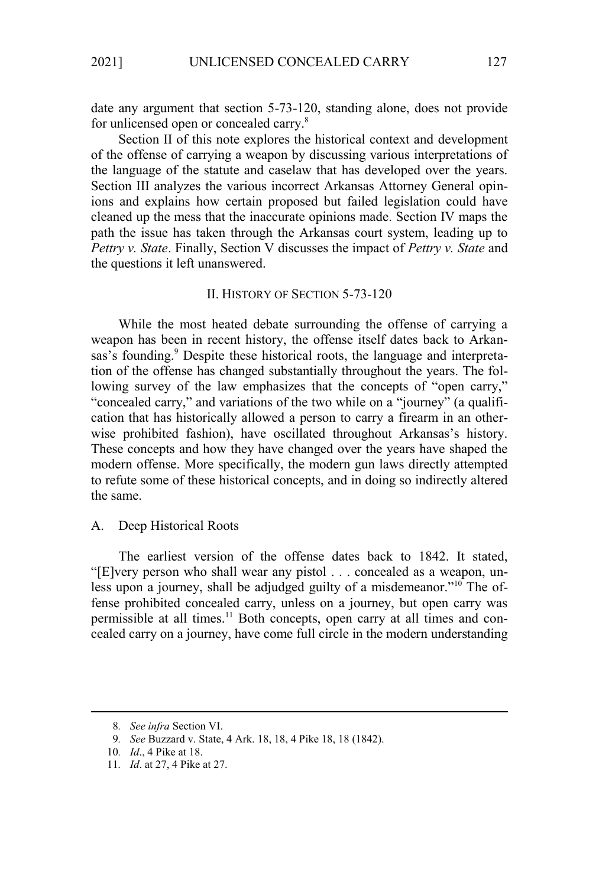date any argument that section 5-73-120, standing alone, does not provide for unlicensed open or concealed carry.<sup>8</sup>

Section II of this note explores the historical context and development of the offense of carrying a weapon by discussing various interpretations of the language of the statute and caselaw that has developed over the years. Section III analyzes the various incorrect Arkansas Attorney General opinions and explains how certain proposed but failed legislation could have cleaned up the mess that the inaccurate opinions made. Section IV maps the path the issue has taken through the Arkansas court system, leading up to *Pettry v. State*. Finally, Section V discusses the impact of *Pettry v. State* and the questions it left unanswered.

## II. HISTORY OF SECTION 5-73-120

While the most heated debate surrounding the offense of carrying a weapon has been in recent history, the offense itself dates back to Arkansas's founding.<sup>9</sup> Despite these historical roots, the language and interpretation of the offense has changed substantially throughout the years. The following survey of the law emphasizes that the concepts of "open carry," "concealed carry," and variations of the two while on a "journey" (a qualification that has historically allowed a person to carry a firearm in an otherwise prohibited fashion), have oscillated throughout Arkansas's history. These concepts and how they have changed over the years have shaped the modern offense. More specifically, the modern gun laws directly attempted to refute some of these historical concepts, and in doing so indirectly altered the same.

## A. Deep Historical Roots

The earliest version of the offense dates back to 1842. It stated, "[E]very person who shall wear any pistol . . . concealed as a weapon, unless upon a journey, shall be adjudged guilty of a misdemeanor."<sup>10</sup> The offense prohibited concealed carry, unless on a journey, but open carry was permissible at all times.<sup>11</sup> Both concepts, open carry at all times and concealed carry on a journey, have come full circle in the modern understanding

<sup>8</sup>*. See infra* Section VI.

<sup>9</sup>*. See* Buzzard v. State, 4 Ark. 18, 18, 4 Pike 18, 18 (1842).

<sup>10</sup>*. Id*., 4 Pike at 18.

<sup>11</sup>*. Id*. at 27, 4 Pike at 27.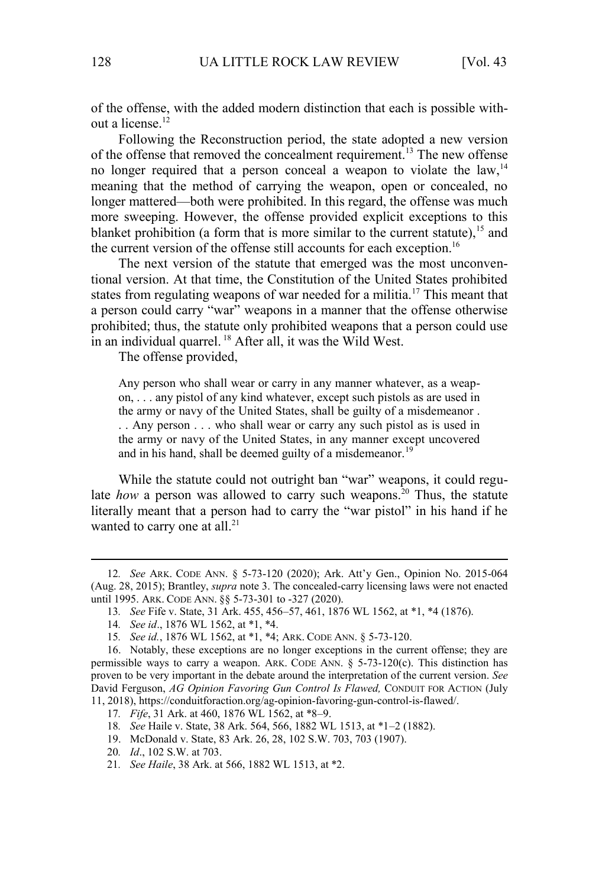of the offense, with the added modern distinction that each is possible without a license.<sup>12</sup>

Following the Reconstruction period, the state adopted a new version of the offense that removed the concealment requirement.<sup>13</sup> The new offense no longer required that a person conceal a weapon to violate the law,  $14$ meaning that the method of carrying the weapon, open or concealed, no longer mattered—both were prohibited. In this regard, the offense was much more sweeping. However, the offense provided explicit exceptions to this blanket prohibition (a form that is more similar to the current statute),<sup>15</sup> and the current version of the offense still accounts for each exception.<sup>16</sup>

The next version of the statute that emerged was the most unconventional version. At that time, the Constitution of the United States prohibited states from regulating weapons of war needed for a militia.<sup>17</sup> This meant that a person could carry "war" weapons in a manner that the offense otherwise prohibited; thus, the statute only prohibited weapons that a person could use in an individual quarrel.  $^{18}$  After all, it was the Wild West.

The offense provided,

Any person who shall wear or carry in any manner whatever, as a weapon, . . . any pistol of any kind whatever, except such pistols as are used in the army or navy of the United States, shall be guilty of a misdemeanor . . . Any person . . . who shall wear or carry any such pistol as is used in the army or navy of the United States, in any manner except uncovered and in his hand, shall be deemed guilty of a misdemeanor.<sup>19</sup>

While the statute could not outright ban "war" weapons, it could regulate *how* a person was allowed to carry such weapons.<sup>20</sup> Thus, the statute literally meant that a person had to carry the "war pistol" in his hand if he wanted to carry one at all.<sup>21</sup>

<sup>12</sup>*. See* ARK. CODE ANN. § 5-73-120 (2020); Ark. Att'y Gen., Opinion No. 2015-064 (Aug. 28, 2015); Brantley, *supra* note 3. The concealed-carry licensing laws were not enacted until 1995. ARK. CODE ANN. §§ 5-73-301 to -327 (2020).

<sup>13</sup>*. See* Fife v. State, 31 Ark. 455, 456–57, 461, 1876 WL 1562, at \*1, \*4 (1876).

<sup>14</sup>*. See id*., 1876 WL 1562, at \*1, \*4.

<sup>15</sup>*. See id.*, 1876 WL 1562, at \*1, \*4; ARK. CODE ANN. § 5-73-120.

<sup>16.</sup> Notably, these exceptions are no longer exceptions in the current offense; they are permissible ways to carry a weapon. ARK. CODE ANN.  $\S$  5-73-120(c). This distinction has proven to be very important in the debate around the interpretation of the current version. *See*  David Ferguson, *AG Opinion Favoring Gun Control Is Flawed,* CONDUIT FOR ACTION (July 11, 2018), https://conduitforaction.org/ag-opinion-favoring-gun-control-is-flawed/.

<sup>17</sup>*. Fife*, 31 Ark. at 460, 1876 WL 1562, at \*8–9.

<sup>18</sup>*. See* Haile v. State, 38 Ark. 564, 566, 1882 WL 1513, at \*1–2 (1882).

<sup>19.</sup> McDonald v. State, 83 Ark. 26, 28, 102 S.W. 703, 703 (1907).

<sup>20</sup>*. Id*., 102 S.W. at 703.

<sup>21</sup>*. See Haile*, 38 Ark. at 566, 1882 WL 1513, at \*2.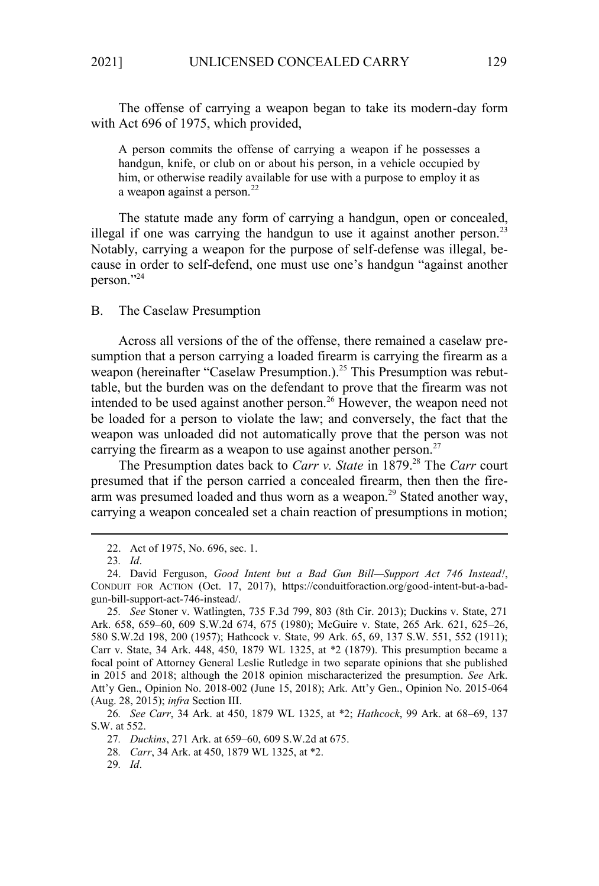The offense of carrying a weapon began to take its modern-day form with Act 696 of 1975, which provided,

A person commits the offense of carrying a weapon if he possesses a handgun, knife, or club on or about his person, in a vehicle occupied by him, or otherwise readily available for use with a purpose to employ it as a weapon against a person. $^{22}$ 

The statute made any form of carrying a handgun, open or concealed, illegal if one was carrying the handgun to use it against another person.<sup>23</sup> Notably, carrying a weapon for the purpose of self-defense was illegal, because in order to self-defend, one must use one's handgun "against another person."<sup>24</sup>

B. The Caselaw Presumption

Across all versions of the of the offense, there remained a caselaw presumption that a person carrying a loaded firearm is carrying the firearm as a weapon (hereinafter "Caselaw Presumption.).<sup>25</sup> This Presumption was rebuttable, but the burden was on the defendant to prove that the firearm was not intended to be used against another person.<sup>26</sup> However, the weapon need not be loaded for a person to violate the law; and conversely, the fact that the weapon was unloaded did not automatically prove that the person was not carrying the firearm as a weapon to use against another person.<sup>27</sup>

The Presumption dates back to *Carr v. State* in 1879.<sup>28</sup> The *Carr* court presumed that if the person carried a concealed firearm, then then the firearm was presumed loaded and thus worn as a weapon.<sup>29</sup> Stated another way, carrying a weapon concealed set a chain reaction of presumptions in motion;

<sup>22.</sup> Act of 1975, No. 696, sec. 1.

<sup>23</sup>*. Id*.

<sup>24.</sup> David Ferguson, *Good Intent but a Bad Gun Bill—Support Act 746 Instead!*, CONDUIT FOR ACTION (Oct. 17, 2017), https://conduitforaction.org/good-intent-but-a-badgun-bill-support-act-746-instead/.

<sup>25</sup>*. See* Stoner v. Watlingten, 735 F.3d 799, 803 (8th Cir. 2013); Duckins v. State, 271 Ark. 658, 659–60, 609 S.W.2d 674, 675 (1980); McGuire v. State, 265 Ark. 621, 625–26, 580 S.W.2d 198, 200 (1957); Hathcock v. State, 99 Ark. 65, 69, 137 S.W. 551, 552 (1911); Carr v. State, 34 Ark. 448, 450, 1879 WL 1325, at \*2 (1879). This presumption became a focal point of Attorney General Leslie Rutledge in two separate opinions that she published in 2015 and 2018; although the 2018 opinion mischaracterized the presumption. *See* Ark. Att'y Gen., Opinion No. 2018-002 (June 15, 2018); Ark. Att'y Gen., Opinion No. 2015-064 (Aug. 28, 2015); *infra* Section III.

<sup>26</sup>*. See Carr*, 34 Ark. at 450, 1879 WL 1325, at \*2; *Hathcock*, 99 Ark. at 68–69, 137 S.W. at 552.

<sup>27</sup>*. Duckins*, 271 Ark. at 659–60, 609 S.W.2d at 675.

<sup>28</sup>*. Carr*, 34 Ark. at 450, 1879 WL 1325, at \*2.

<sup>29</sup>*. Id*.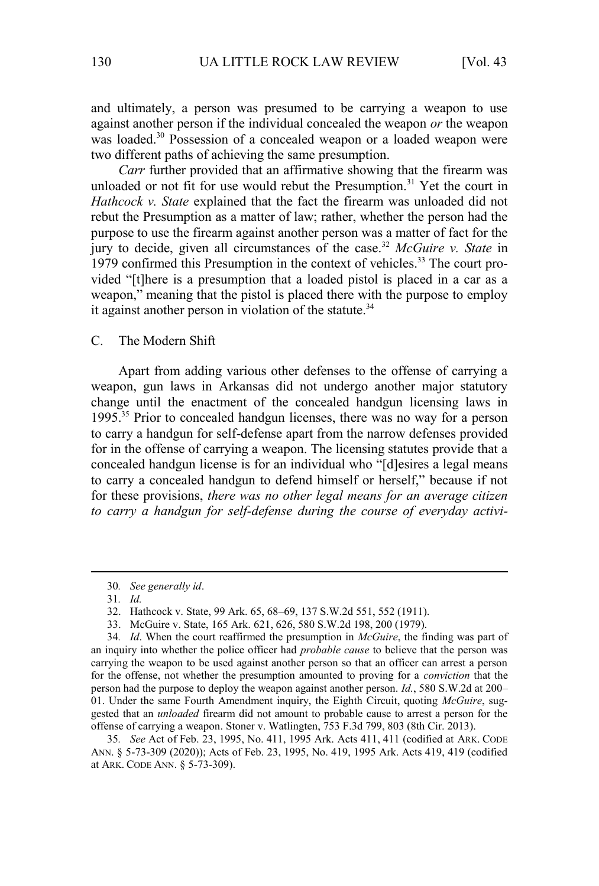and ultimately, a person was presumed to be carrying a weapon to use against another person if the individual concealed the weapon *or* the weapon was loaded.<sup>30</sup> Possession of a concealed weapon or a loaded weapon were two different paths of achieving the same presumption.

*Carr* further provided that an affirmative showing that the firearm was unloaded or not fit for use would rebut the Presumption.<sup>31</sup> Yet the court in *Hathcock v. State* explained that the fact the firearm was unloaded did not rebut the Presumption as a matter of law; rather, whether the person had the purpose to use the firearm against another person was a matter of fact for the jury to decide, given all circumstances of the case.<sup>32</sup> *McGuire v. State* in  $1979$  confirmed this Presumption in the context of vehicles.<sup>33</sup> The court provided "[t]here is a presumption that a loaded pistol is placed in a car as a weapon," meaning that the pistol is placed there with the purpose to employ it against another person in violation of the statute.<sup>34</sup>

C. The Modern Shift

Apart from adding various other defenses to the offense of carrying a weapon, gun laws in Arkansas did not undergo another major statutory change until the enactment of the concealed handgun licensing laws in 1995.<sup>35</sup> Prior to concealed handgun licenses, there was no way for a person to carry a handgun for self-defense apart from the narrow defenses provided for in the offense of carrying a weapon. The licensing statutes provide that a concealed handgun license is for an individual who "[d]esires a legal means to carry a concealed handgun to defend himself or herself," because if not for these provisions, *there was no other legal means for an average citizen to carry a handgun for self-defense during the course of everyday activi-*

<sup>30</sup>*. See generally id*.

<sup>31</sup>*. Id.*

<sup>32.</sup> Hathcock v. State, 99 Ark. 65, 68–69, 137 S.W.2d 551, 552 (1911).

<sup>33.</sup> McGuire v. State, 165 Ark. 621, 626, 580 S.W.2d 198, 200 (1979).

<sup>34</sup>*. Id*. When the court reaffirmed the presumption in *McGuire*, the finding was part of an inquiry into whether the police officer had *probable cause* to believe that the person was carrying the weapon to be used against another person so that an officer can arrest a person for the offense, not whether the presumption amounted to proving for a *conviction* that the person had the purpose to deploy the weapon against another person. *Id.*, 580 S.W.2d at 200– 01. Under the same Fourth Amendment inquiry, the Eighth Circuit, quoting *McGuire*, suggested that an *unloaded* firearm did not amount to probable cause to arrest a person for the offense of carrying a weapon. Stoner v. Watlingten, 753 F.3d 799, 803 (8th Cir. 2013).

<sup>35</sup>*. See* Act of Feb. 23, 1995, No. 411, 1995 Ark. Acts 411, 411 (codified at ARK. CODE ANN. § 5-73-309 (2020)); Acts of Feb. 23, 1995, No. 419, 1995 Ark. Acts 419, 419 (codified at ARK. CODE ANN. § 5-73-309).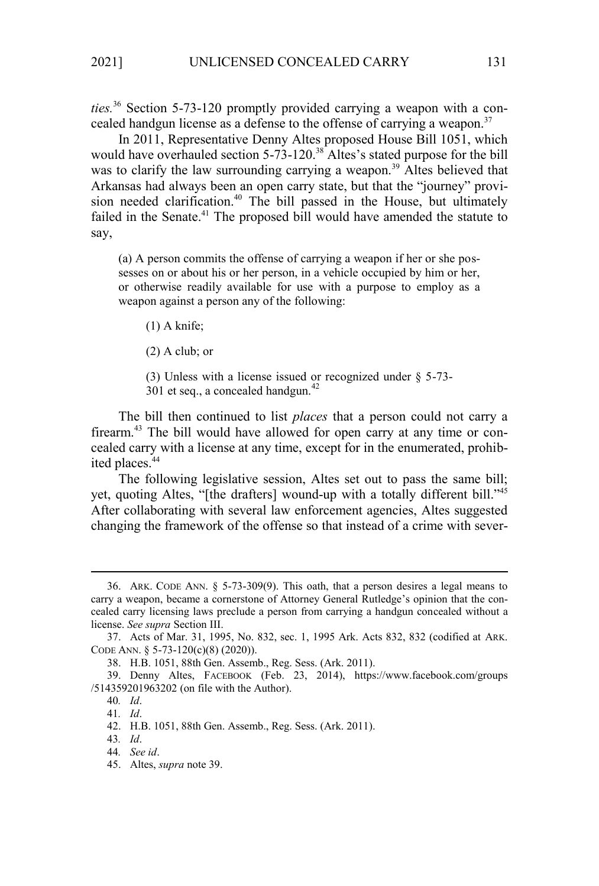*ties.*36 Section 5-73-120 promptly provided carrying a weapon with a concealed handgun license as a defense to the offense of carrying a weapon.<sup>37</sup>

In 2011, Representative Denny Altes proposed House Bill 1051, which would have overhauled section 5-73-120.<sup>38</sup> Altes's stated purpose for the bill was to clarify the law surrounding carrying a weapon.<sup>39</sup> Altes believed that Arkansas had always been an open carry state, but that the "journey" provision needed clarification.<sup>40</sup> The bill passed in the House, but ultimately failed in the Senate.<sup>41</sup> The proposed bill would have amended the statute to say,

(a) A person commits the offense of carrying a weapon if her or she possesses on or about his or her person, in a vehicle occupied by him or her, or otherwise readily available for use with a purpose to employ as a weapon against a person any of the following:

(1) A knife;

(2) A club; or

(3) Unless with a license issued or recognized under § 5-73-

 $301$  et seq., a concealed handgun.<sup>42</sup>

The bill then continued to list *places* that a person could not carry a firearm.43 The bill would have allowed for open carry at any time or concealed carry with a license at any time, except for in the enumerated, prohibited places.<sup>44</sup>

The following legislative session, Altes set out to pass the same bill; yet, quoting Altes, "[the drafters] wound-up with a totally different bill."<sup>45</sup> After collaborating with several law enforcement agencies, Altes suggested changing the framework of the offense so that instead of a crime with sever-

<sup>36.</sup> ARK. CODE ANN. § 5-73-309(9). This oath, that a person desires a legal means to carry a weapon, became a cornerstone of Attorney General Rutledge's opinion that the concealed carry licensing laws preclude a person from carrying a handgun concealed without a license. *See supra* Section III.

<sup>37.</sup> Acts of Mar. 31, 1995, No. 832, sec. 1, 1995 Ark. Acts 832, 832 (codified at ARK. CODE ANN. § 5-73-120(c)(8) (2020)).

<sup>38.</sup> H.B. 1051, 88th Gen. Assemb., Reg. Sess. (Ark. 2011).

<sup>39.</sup> Denny Altes, FACEBOOK (Feb. 23, 2014), https://www.facebook.com/groups /514359201963202 (on file with the Author).

<sup>40</sup>*. Id*.

<sup>41</sup>*. Id*.

<sup>42.</sup> H.B. 1051, 88th Gen. Assemb., Reg. Sess. (Ark. 2011).

<sup>43</sup>*. Id*.

<sup>44</sup>*. See id*.

<sup>45.</sup> Altes, *supra* note 39.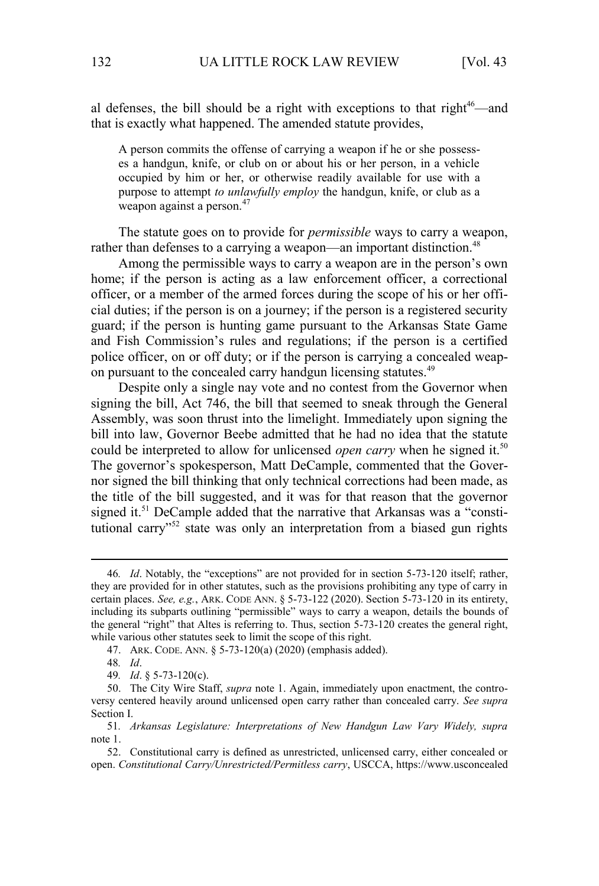al defenses, the bill should be a right with exceptions to that right<sup>46</sup>—and that is exactly what happened. The amended statute provides,

A person commits the offense of carrying a weapon if he or she possesses a handgun, knife, or club on or about his or her person, in a vehicle occupied by him or her, or otherwise readily available for use with a purpose to attempt *to unlawfully employ* the handgun, knife, or club as a weapon against a person.<sup>47</sup>

The statute goes on to provide for *permissible* ways to carry a weapon, rather than defenses to a carrying a weapon—an important distinction.<sup>48</sup>

Among the permissible ways to carry a weapon are in the person's own home; if the person is acting as a law enforcement officer, a correctional officer, or a member of the armed forces during the scope of his or her official duties; if the person is on a journey; if the person is a registered security guard; if the person is hunting game pursuant to the Arkansas State Game and Fish Commission's rules and regulations; if the person is a certified police officer, on or off duty; or if the person is carrying a concealed weapon pursuant to the concealed carry handgun licensing statutes.<sup>49</sup>

Despite only a single nay vote and no contest from the Governor when signing the bill, Act 746, the bill that seemed to sneak through the General Assembly, was soon thrust into the limelight. Immediately upon signing the bill into law, Governor Beebe admitted that he had no idea that the statute could be interpreted to allow for unlicensed *open carry* when he signed it.<sup>50</sup> The governor's spokesperson, Matt DeCample, commented that the Governor signed the bill thinking that only technical corrections had been made, as the title of the bill suggested, and it was for that reason that the governor signed it.<sup>51</sup> DeCample added that the narrative that Arkansas was a "constitutional carry"<sup>52</sup> state was only an interpretation from a biased gun rights

<sup>46</sup>*. Id*. Notably, the "exceptions" are not provided for in section 5-73-120 itself; rather, they are provided for in other statutes, such as the provisions prohibiting any type of carry in certain places. *See, e.g.*, ARK. CODE ANN. § 5-73-122 (2020). Section 5-73-120 in its entirety, including its subparts outlining "permissible" ways to carry a weapon, details the bounds of the general "right" that Altes is referring to. Thus, section 5-73-120 creates the general right, while various other statutes seek to limit the scope of this right.

<sup>47.</sup> ARK. CODE. ANN. § 5-73-120(a) (2020) (emphasis added).

<sup>48</sup>*. Id*.

<sup>49</sup>*. Id*. § 5-73-120(c).

<sup>50.</sup> The City Wire Staff, *supra* note 1. Again, immediately upon enactment, the controversy centered heavily around unlicensed open carry rather than concealed carry. *See supra*  Section I.

<sup>51</sup>*. Arkansas Legislature: Interpretations of New Handgun Law Vary Widely, supra*  note 1.

<sup>52.</sup> Constitutional carry is defined as unrestricted, unlicensed carry, either concealed or open. *Constitutional Carry/Unrestricted/Permitless carry*, USCCA, https://www.usconcealed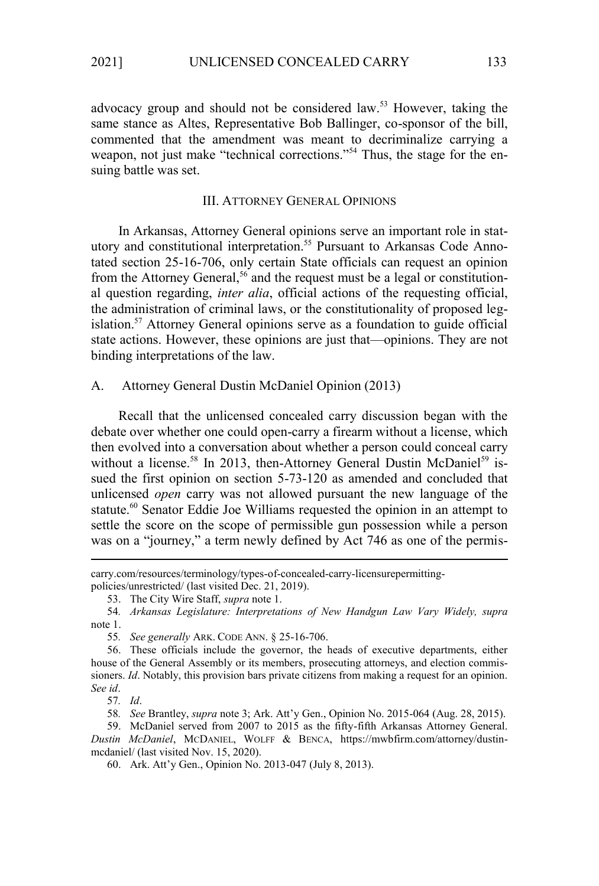advocacy group and should not be considered law.<sup>53</sup> However, taking the same stance as Altes, Representative Bob Ballinger, co-sponsor of the bill, commented that the amendment was meant to decriminalize carrying a weapon, not just make "technical corrections."<sup>54</sup> Thus, the stage for the ensuing battle was set.

#### III. ATTORNEY GENERAL OPINIONS

In Arkansas, Attorney General opinions serve an important role in statutory and constitutional interpretation.<sup>55</sup> Pursuant to Arkansas Code Annotated section 25-16-706, only certain State officials can request an opinion from the Attorney General,<sup>56</sup> and the request must be a legal or constitutional question regarding, *inter alia*, official actions of the requesting official, the administration of criminal laws, or the constitutionality of proposed legislation.<sup>57</sup> Attorney General opinions serve as a foundation to guide official state actions. However, these opinions are just that—opinions. They are not binding interpretations of the law.

A. Attorney General Dustin McDaniel Opinion (2013)

Recall that the unlicensed concealed carry discussion began with the debate over whether one could open-carry a firearm without a license, which then evolved into a conversation about whether a person could conceal carry without a license.<sup>58</sup> In 2013, then-Attorney General Dustin McDaniel<sup>59</sup> issued the first opinion on section 5-73-120 as amended and concluded that unlicensed *open* carry was not allowed pursuant the new language of the statute.<sup>60</sup> Senator Eddie Joe Williams requested the opinion in an attempt to settle the score on the scope of permissible gun possession while a person was on a "journey," a term newly defined by Act 746 as one of the permis-

carry.com/resources/terminology/types-of-concealed-carry-licensurepermittingpolicies/unrestricted/ (last visited Dec. 21, 2019).

<sup>53.</sup> The City Wire Staff, *supra* note 1.

<sup>54</sup>*. Arkansas Legislature: Interpretations of New Handgun Law Vary Widely, supra* note 1.

<sup>55</sup>*. See generally* ARK. CODE ANN. § 25-16-706.

<sup>56.</sup> These officials include the governor, the heads of executive departments, either house of the General Assembly or its members, prosecuting attorneys, and election commissioners. *Id*. Notably, this provision bars private citizens from making a request for an opinion. *See id*.

<sup>57</sup>*. Id*.

<sup>58</sup>*. See* Brantley, *supra* note 3; Ark. Att'y Gen., Opinion No. 2015-064 (Aug. 28, 2015).

<sup>59.</sup> McDaniel served from 2007 to 2015 as the fifty-fifth Arkansas Attorney General. *Dustin McDaniel*, MCDANIEL, WOLFF & BENCA, https://mwbfirm.com/attorney/dustinmcdaniel/ (last visited Nov. 15, 2020).

<sup>60.</sup> Ark. Att'y Gen., Opinion No. 2013-047 (July 8, 2013).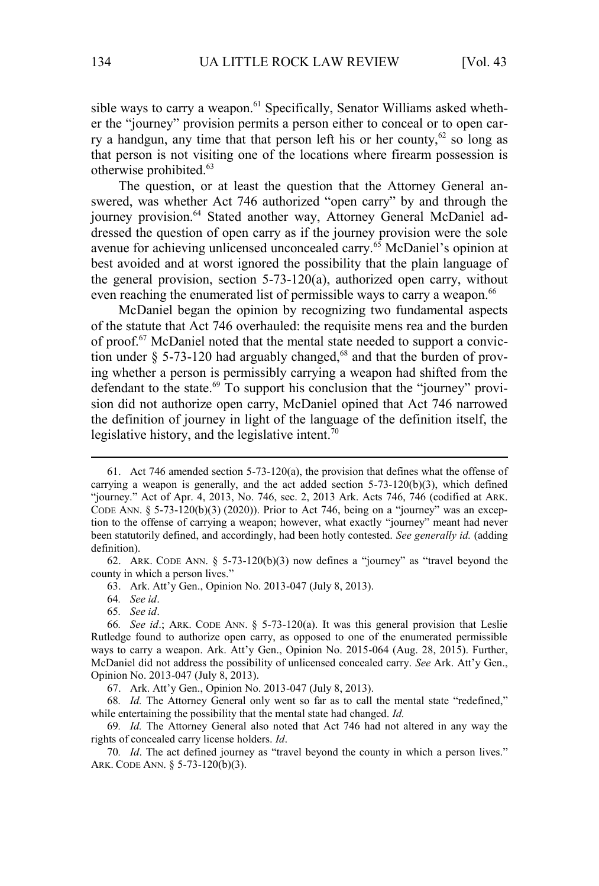sible ways to carry a weapon.<sup>61</sup> Specifically, Senator Williams asked whether the "journey" provision permits a person either to conceal or to open carry a handgun, any time that that person left his or her county,<sup>62</sup> so long as that person is not visiting one of the locations where firearm possession is otherwise prohibited.<sup>63</sup>

The question, or at least the question that the Attorney General answered, was whether Act 746 authorized "open carry" by and through the journey provision.<sup>64</sup> Stated another way, Attorney General McDaniel addressed the question of open carry as if the journey provision were the sole avenue for achieving unlicensed unconcealed carry.<sup>65</sup> McDaniel's opinion at best avoided and at worst ignored the possibility that the plain language of the general provision, section 5-73-120(a), authorized open carry, without even reaching the enumerated list of permissible ways to carry a weapon.<sup>66</sup>

McDaniel began the opinion by recognizing two fundamental aspects of the statute that Act 746 overhauled: the requisite mens rea and the burden of proof.<sup>67</sup> McDaniel noted that the mental state needed to support a conviction under  $\S$  5-73-120 had arguably changed,<sup>68</sup> and that the burden of proving whether a person is permissibly carrying a weapon had shifted from the defendant to the state.<sup>69</sup> To support his conclusion that the "journey" provision did not authorize open carry, McDaniel opined that Act 746 narrowed the definition of journey in light of the language of the definition itself, the legislative history, and the legislative intent.<sup>70</sup>

64*. See id*.

65*. See id*.

68*. Id.* The Attorney General only went so far as to call the mental state "redefined," while entertaining the possibility that the mental state had changed. *Id.*

69*. Id.* The Attorney General also noted that Act 746 had not altered in any way the rights of concealed carry license holders. *Id*.

70*. Id*. The act defined journey as "travel beyond the county in which a person lives." ARK. CODE ANN. § 5-73-120(b)(3).

<sup>61.</sup> Act 746 amended section 5-73-120(a), the provision that defines what the offense of carrying a weapon is generally, and the act added section  $5-73-120(b)(3)$ , which defined "journey." Act of Apr. 4, 2013, No. 746, sec. 2, 2013 Ark. Acts 746, 746 (codified at ARK. CODE ANN.  $\S$  5-73-120(b)(3) (2020)). Prior to Act 746, being on a "journey" was an exception to the offense of carrying a weapon; however, what exactly "journey" meant had never been statutorily defined, and accordingly, had been hotly contested. *See generally id.* (adding definition).

<sup>62.</sup> ARK. CODE ANN.  $\S$  5-73-120(b)(3) now defines a "journey" as "travel beyond the county in which a person lives."

<sup>63.</sup> Ark. Att'y Gen., Opinion No. 2013-047 (July 8, 2013).

<sup>66</sup>*. See id*.; ARK. CODE ANN. § 5-73-120(a). It was this general provision that Leslie Rutledge found to authorize open carry, as opposed to one of the enumerated permissible ways to carry a weapon. Ark. Att'y Gen., Opinion No. 2015-064 (Aug. 28, 2015). Further, McDaniel did not address the possibility of unlicensed concealed carry. *See* Ark. Att'y Gen., Opinion No. 2013-047 (July 8, 2013).

<sup>67.</sup> Ark. Att'y Gen., Opinion No. 2013-047 (July 8, 2013).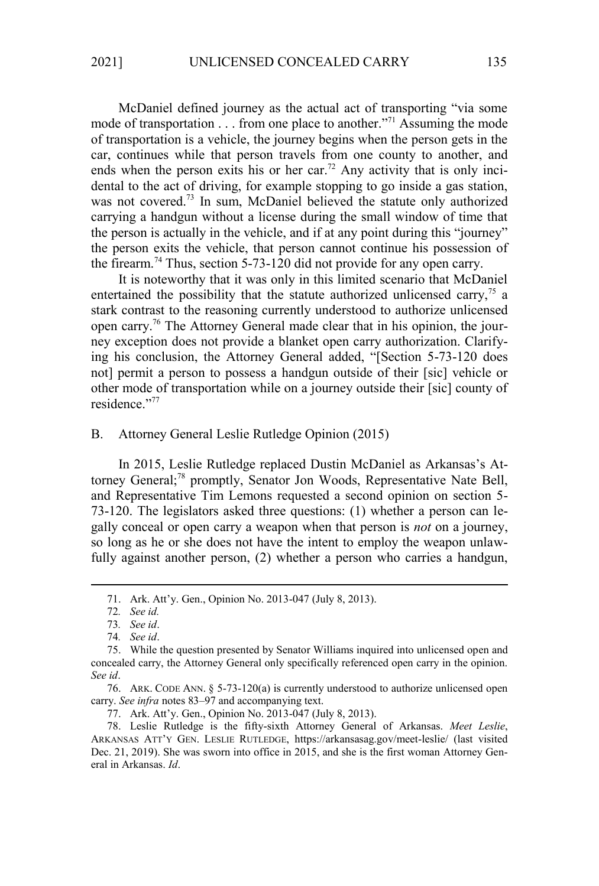McDaniel defined journey as the actual act of transporting "via some mode of transportation . . . from one place to another."<sup>71</sup> Assuming the mode of transportation is a vehicle, the journey begins when the person gets in the car, continues while that person travels from one county to another, and ends when the person exits his or her car.<sup>72</sup> Any activity that is only incidental to the act of driving, for example stopping to go inside a gas station, was not covered.<sup>73</sup> In sum, McDaniel believed the statute only authorized carrying a handgun without a license during the small window of time that the person is actually in the vehicle, and if at any point during this "journey" the person exits the vehicle, that person cannot continue his possession of the firearm.<sup>74</sup> Thus, section 5-73-120 did not provide for any open carry.

It is noteworthy that it was only in this limited scenario that McDaniel entertained the possibility that the statute authorized unlicensed carry,<sup>75</sup> a stark contrast to the reasoning currently understood to authorize unlicensed open carry.76 The Attorney General made clear that in his opinion, the journey exception does not provide a blanket open carry authorization. Clarifying his conclusion, the Attorney General added, "[Section 5-73-120 does not] permit a person to possess a handgun outside of their [sic] vehicle or other mode of transportation while on a journey outside their [sic] county of residence."<sup>77</sup>

## B. Attorney General Leslie Rutledge Opinion (2015)

In 2015, Leslie Rutledge replaced Dustin McDaniel as Arkansas's Attorney General;<sup>78</sup> promptly, Senator Jon Woods, Representative Nate Bell, and Representative Tim Lemons requested a second opinion on section 5- 73-120. The legislators asked three questions: (1) whether a person can legally conceal or open carry a weapon when that person is *not* on a journey, so long as he or she does not have the intent to employ the weapon unlawfully against another person, (2) whether a person who carries a handgun,

77. Ark. Att'y. Gen., Opinion No. 2013-047 (July 8, 2013).

<sup>71.</sup> Ark. Att'y. Gen., Opinion No. 2013-047 (July 8, 2013).

<sup>72</sup>*. See id.* 

<sup>73</sup>*. See id*.

<sup>74</sup>*. See id*.

<sup>75.</sup> While the question presented by Senator Williams inquired into unlicensed open and concealed carry, the Attorney General only specifically referenced open carry in the opinion. *See id*.

<sup>76.</sup> ARK. CODE ANN. § 5-73-120(a) is currently understood to authorize unlicensed open carry. *See infra* notes 83–97 and accompanying text.

<sup>78.</sup> Leslie Rutledge is the fifty-sixth Attorney General of Arkansas. *Meet Leslie*, ARKANSAS ATT'Y GEN. LESLIE RUTLEDGE, https://arkansasag.gov/meet-leslie/ (last visited Dec. 21, 2019). She was sworn into office in 2015, and she is the first woman Attorney General in Arkansas. *Id*.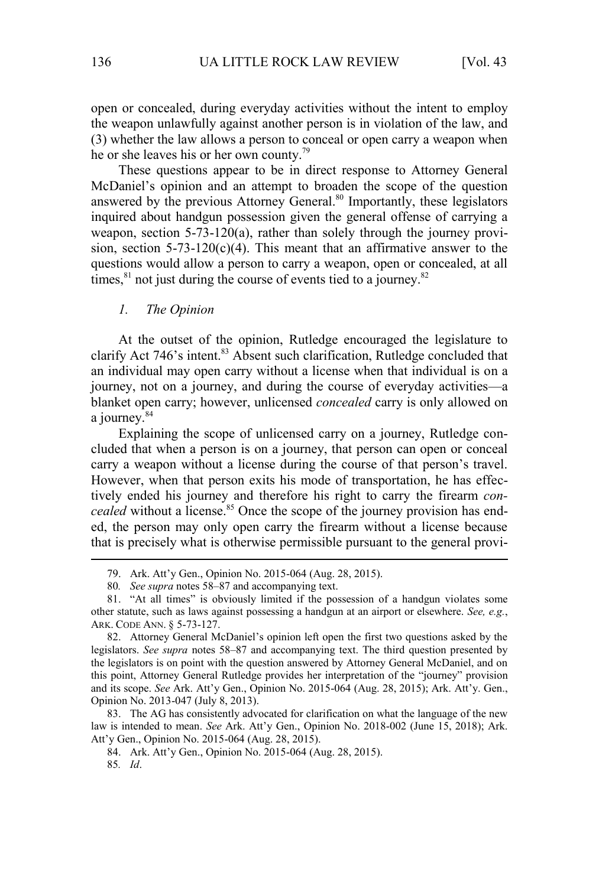open or concealed, during everyday activities without the intent to employ the weapon unlawfully against another person is in violation of the law, and (3) whether the law allows a person to conceal or open carry a weapon when he or she leaves his or her own county.<sup>79</sup>

These questions appear to be in direct response to Attorney General McDaniel's opinion and an attempt to broaden the scope of the question answered by the previous Attorney General.<sup>80</sup> Importantly, these legislators inquired about handgun possession given the general offense of carrying a weapon, section 5-73-120(a), rather than solely through the journey provision, section  $5-73-120(c)(4)$ . This meant that an affirmative answer to the questions would allow a person to carry a weapon, open or concealed, at all times, $81$  not just during the course of events tied to a journey. $82$ 

## *1. The Opinion*

At the outset of the opinion, Rutledge encouraged the legislature to clarify Act 746's intent.<sup>83</sup> Absent such clarification, Rutledge concluded that an individual may open carry without a license when that individual is on a journey, not on a journey, and during the course of everyday activities—a blanket open carry; however, unlicensed *concealed* carry is only allowed on a journey.<sup>84</sup>

Explaining the scope of unlicensed carry on a journey, Rutledge concluded that when a person is on a journey, that person can open or conceal carry a weapon without a license during the course of that person's travel. However, when that person exits his mode of transportation, he has effectively ended his journey and therefore his right to carry the firearm *concealed* without a license.<sup>85</sup> Once the scope of the journey provision has ended, the person may only open carry the firearm without a license because that is precisely what is otherwise permissible pursuant to the general provi-

83. The AG has consistently advocated for clarification on what the language of the new law is intended to mean. *See* Ark. Att'y Gen., Opinion No. 2018-002 (June 15, 2018); Ark. Att'y Gen., Opinion No. 2015-064 (Aug. 28, 2015).

84. Ark. Att'y Gen., Opinion No. 2015-064 (Aug. 28, 2015).

<sup>79.</sup> Ark. Att'y Gen., Opinion No. 2015-064 (Aug. 28, 2015).

<sup>80</sup>*. See supra* notes 58–87 and accompanying text.

<sup>81.</sup> "At all times" is obviously limited if the possession of a handgun violates some other statute, such as laws against possessing a handgun at an airport or elsewhere. *See, e.g.*, ARK. CODE ANN. § 5-73-127.

<sup>82.</sup> Attorney General McDaniel's opinion left open the first two questions asked by the legislators. *See supra* notes 58–87 and accompanying text. The third question presented by the legislators is on point with the question answered by Attorney General McDaniel, and on this point, Attorney General Rutledge provides her interpretation of the "journey" provision and its scope. *See* Ark. Att'y Gen., Opinion No. 2015-064 (Aug. 28, 2015); Ark. Att'y. Gen., Opinion No. 2013-047 (July 8, 2013).

<sup>85</sup>*. Id*.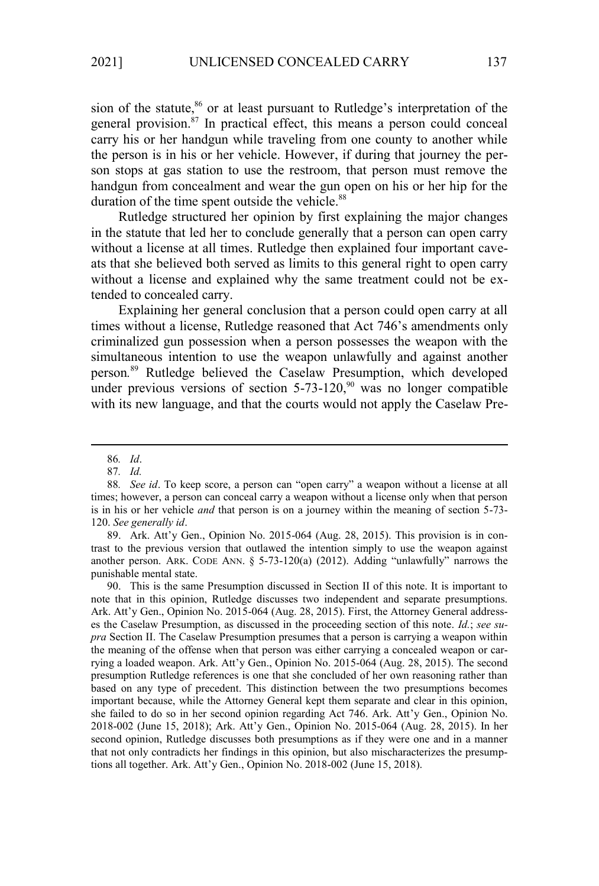sion of the statute, $86$  or at least pursuant to Rutledge's interpretation of the general provision.<sup>87</sup> In practical effect, this means a person could conceal carry his or her handgun while traveling from one county to another while the person is in his or her vehicle. However, if during that journey the person stops at gas station to use the restroom, that person must remove the handgun from concealment and wear the gun open on his or her hip for the duration of the time spent outside the vehicle.<sup>88</sup>

Rutledge structured her opinion by first explaining the major changes in the statute that led her to conclude generally that a person can open carry without a license at all times. Rutledge then explained four important caveats that she believed both served as limits to this general right to open carry without a license and explained why the same treatment could not be extended to concealed carry.

Explaining her general conclusion that a person could open carry at all times without a license, Rutledge reasoned that Act 746's amendments only criminalized gun possession when a person possesses the weapon with the simultaneous intention to use the weapon unlawfully and against another person*.* <sup>89</sup> Rutledge believed the Caselaw Presumption, which developed under previous versions of section  $5-73-120$ ,<sup>90</sup> was no longer compatible with its new language, and that the courts would not apply the Caselaw Pre-

90. This is the same Presumption discussed in Section II of this note. It is important to note that in this opinion, Rutledge discusses two independent and separate presumptions. Ark. Att'y Gen., Opinion No. 2015-064 (Aug. 28, 2015). First, the Attorney General addresses the Caselaw Presumption, as discussed in the proceeding section of this note. *Id.*; *see supra* Section II. The Caselaw Presumption presumes that a person is carrying a weapon within the meaning of the offense when that person was either carrying a concealed weapon or carrying a loaded weapon. Ark. Att'y Gen., Opinion No. 2015-064 (Aug. 28, 2015). The second presumption Rutledge references is one that she concluded of her own reasoning rather than based on any type of precedent. This distinction between the two presumptions becomes important because, while the Attorney General kept them separate and clear in this opinion, she failed to do so in her second opinion regarding Act 746. Ark. Att'y Gen., Opinion No. 2018-002 (June 15, 2018); Ark. Att'y Gen., Opinion No. 2015-064 (Aug. 28, 2015). In her second opinion, Rutledge discusses both presumptions as if they were one and in a manner that not only contradicts her findings in this opinion, but also mischaracterizes the presumptions all together. Ark. Att'y Gen., Opinion No. 2018-002 (June 15, 2018).

<sup>86</sup>*. Id*.

<sup>87</sup>*. Id.* 

<sup>88</sup>*. See id*. To keep score, a person can "open carry" a weapon without a license at all times; however, a person can conceal carry a weapon without a license only when that person is in his or her vehicle *and* that person is on a journey within the meaning of section 5-73- 120. *See generally id*.

<sup>89.</sup> Ark. Att'y Gen., Opinion No. 2015-064 (Aug. 28, 2015). This provision is in contrast to the previous version that outlawed the intention simply to use the weapon against another person. ARK. CODE ANN.  $\S$  5-73-120(a) (2012). Adding "unlawfully" narrows the punishable mental state.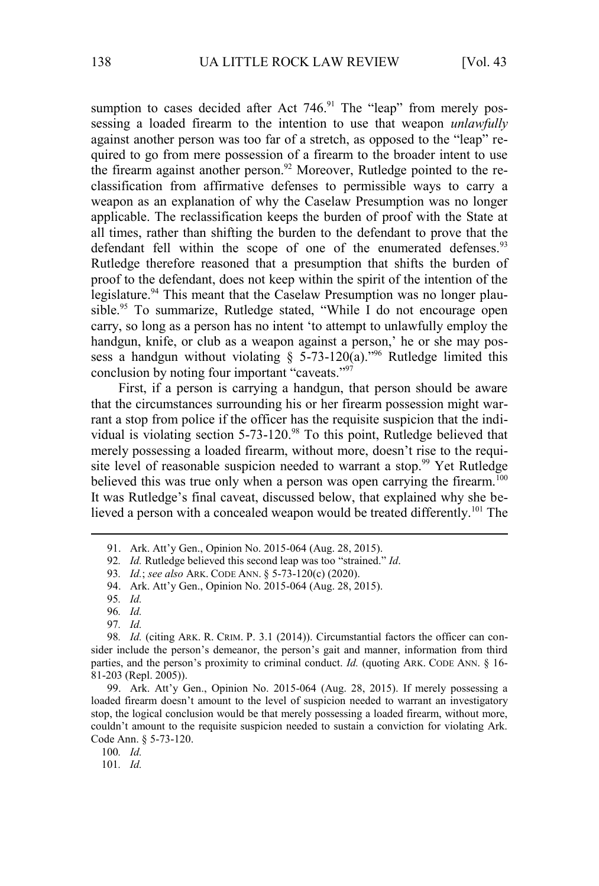sumption to cases decided after Act  $746.91$  The "leap" from merely possessing a loaded firearm to the intention to use that weapon *unlawfully* against another person was too far of a stretch, as opposed to the "leap" required to go from mere possession of a firearm to the broader intent to use the firearm against another person.<sup>92</sup> Moreover, Rutledge pointed to the reclassification from affirmative defenses to permissible ways to carry a weapon as an explanation of why the Caselaw Presumption was no longer applicable. The reclassification keeps the burden of proof with the State at all times, rather than shifting the burden to the defendant to prove that the defendant fell within the scope of one of the enumerated defenses.<sup>93</sup> Rutledge therefore reasoned that a presumption that shifts the burden of proof to the defendant, does not keep within the spirit of the intention of the legislature.<sup>94</sup> This meant that the Caselaw Presumption was no longer plausible.<sup>95</sup> To summarize, Rutledge stated, "While  $\overline{I}$  do not encourage open carry, so long as a person has no intent 'to attempt to unlawfully employ the handgun, knife, or club as a weapon against a person,' he or she may possess a handgun without violating  $\S$  5-73-120(a).<sup>796</sup> Rutledge limited this conclusion by noting four important "caveats."<sup>97</sup>

First, if a person is carrying a handgun, that person should be aware that the circumstances surrounding his or her firearm possession might warrant a stop from police if the officer has the requisite suspicion that the individual is violating section  $5-73-120$ .<sup>98</sup> To this point, Rutledge believed that merely possessing a loaded firearm, without more, doesn't rise to the requisite level of reasonable suspicion needed to warrant a stop.<sup>99</sup> Yet Rutledge believed this was true only when a person was open carrying the firearm.<sup>100</sup> It was Rutledge's final caveat, discussed below, that explained why she believed a person with a concealed weapon would be treated differently.<sup>101</sup> The

97*. Id.*

100*. Id.*

101*. Id.*

<sup>91.</sup> Ark. Att'y Gen., Opinion No. 2015-064 (Aug. 28, 2015).

<sup>92</sup>*. Id.* Rutledge believed this second leap was too "strained." *Id*.

<sup>93</sup>*. Id.*; *see also* ARK. CODE ANN. § 5-73-120(c) (2020).

<sup>94.</sup> Ark. Att'y Gen., Opinion No. 2015-064 (Aug. 28, 2015).

<sup>95</sup>*. Id.* 

<sup>96</sup>*. Id.*

<sup>98</sup>*. Id.* (citing ARK. R. CRIM. P. 3.1 (2014)). Circumstantial factors the officer can consider include the person's demeanor, the person's gait and manner, information from third parties, and the person's proximity to criminal conduct. *Id.* (quoting ARK. CODE ANN. § 16-81-203 (Repl. 2005)).

<sup>99.</sup> Ark. Att'y Gen., Opinion No. 2015-064 (Aug. 28, 2015). If merely possessing a loaded firearm doesn't amount to the level of suspicion needed to warrant an investigatory stop, the logical conclusion would be that merely possessing a loaded firearm, without more, couldn't amount to the requisite suspicion needed to sustain a conviction for violating Ark. Code Ann. § 5-73-120.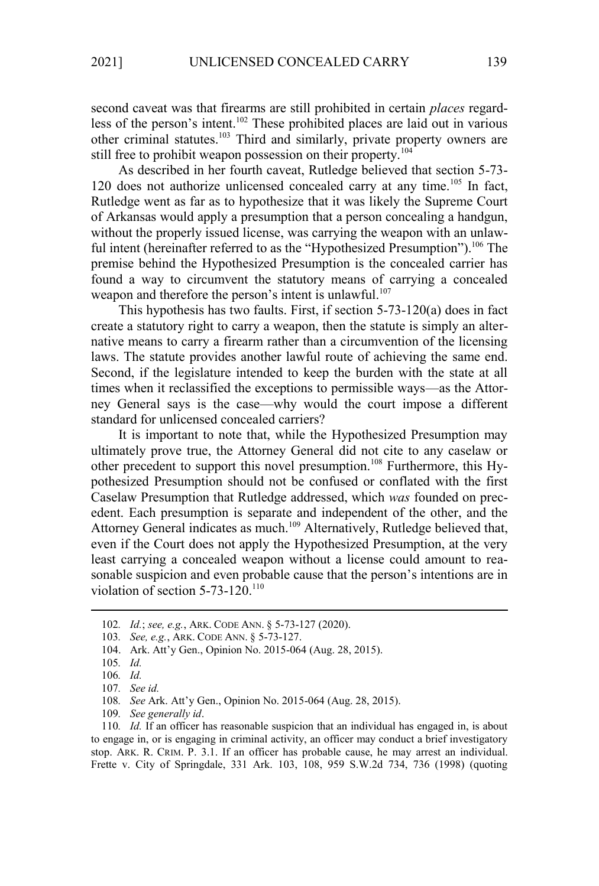second caveat was that firearms are still prohibited in certain *places* regardless of the person's intent.<sup>102</sup> These prohibited places are laid out in various other criminal statutes.<sup>103</sup> Third and similarly, private property owners are still free to prohibit weapon possession on their property.<sup>104</sup>

As described in her fourth caveat, Rutledge believed that section 5-73- 120 does not authorize unlicensed concealed carry at any time.<sup>105</sup> In fact, Rutledge went as far as to hypothesize that it was likely the Supreme Court of Arkansas would apply a presumption that a person concealing a handgun, without the properly issued license, was carrying the weapon with an unlawful intent (hereinafter referred to as the "Hypothesized Presumption").<sup>106</sup> The premise behind the Hypothesized Presumption is the concealed carrier has found a way to circumvent the statutory means of carrying a concealed weapon and therefore the person's intent is unlawful.<sup>107</sup>

This hypothesis has two faults. First, if section 5-73-120(a) does in fact create a statutory right to carry a weapon, then the statute is simply an alternative means to carry a firearm rather than a circumvention of the licensing laws. The statute provides another lawful route of achieving the same end. Second, if the legislature intended to keep the burden with the state at all times when it reclassified the exceptions to permissible ways—as the Attorney General says is the case—why would the court impose a different standard for unlicensed concealed carriers?

It is important to note that, while the Hypothesized Presumption may ultimately prove true, the Attorney General did not cite to any caselaw or other precedent to support this novel presumption.<sup>108</sup> Furthermore, this Hypothesized Presumption should not be confused or conflated with the first Caselaw Presumption that Rutledge addressed, which *was* founded on precedent. Each presumption is separate and independent of the other, and the Attorney General indicates as much.<sup>109</sup> Alternatively, Rutledge believed that, even if the Court does not apply the Hypothesized Presumption, at the very least carrying a concealed weapon without a license could amount to reasonable suspicion and even probable cause that the person's intentions are in violation of section  $5-73-120$ <sup>110</sup>

103*. See, e.g.*, ARK. CODE ANN. § 5-73-127.

110*. Id.* If an officer has reasonable suspicion that an individual has engaged in, is about to engage in, or is engaging in criminal activity, an officer may conduct a brief investigatory stop. ARK. R. CRIM. P. 3.1. If an officer has probable cause, he may arrest an individual. Frette v. City of Springdale, 331 Ark. 103, 108, 959 S.W.2d 734, 736 (1998) (quoting

<sup>102</sup>*. Id.*; *see, e.g.*, ARK. CODE ANN. § 5-73-127 (2020).

<sup>104.</sup> Ark. Att'y Gen., Opinion No. 2015-064 (Aug. 28, 2015).

<sup>105</sup>*. Id.*

<sup>106</sup>*. Id.*

<sup>107</sup>*. See id.*

<sup>108</sup>*. See* Ark. Att'y Gen., Opinion No. 2015-064 (Aug. 28, 2015).

<sup>109</sup>*. See generally id*.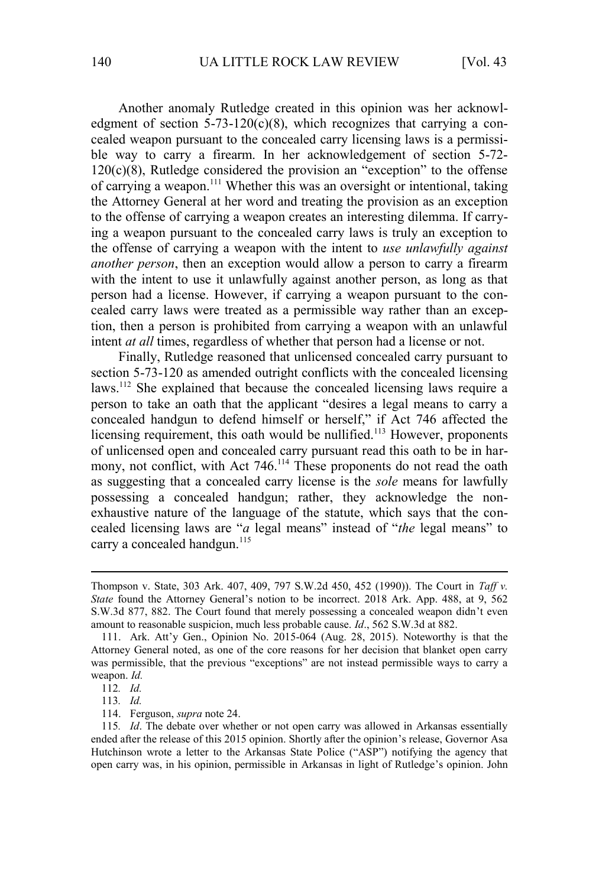Another anomaly Rutledge created in this opinion was her acknowledgment of section  $5-73-120(c)(8)$ , which recognizes that carrying a concealed weapon pursuant to the concealed carry licensing laws is a permissible way to carry a firearm. In her acknowledgement of section 5-72-  $120(c)(8)$ , Rutledge considered the provision an "exception" to the offense of carrying a weapon.<sup>111</sup> Whether this was an oversight or intentional, taking the Attorney General at her word and treating the provision as an exception to the offense of carrying a weapon creates an interesting dilemma. If carrying a weapon pursuant to the concealed carry laws is truly an exception to the offense of carrying a weapon with the intent to *use unlawfully against another person*, then an exception would allow a person to carry a firearm with the intent to use it unlawfully against another person, as long as that person had a license. However, if carrying a weapon pursuant to the concealed carry laws were treated as a permissible way rather than an exception, then a person is prohibited from carrying a weapon with an unlawful intent *at all* times, regardless of whether that person had a license or not.

Finally, Rutledge reasoned that unlicensed concealed carry pursuant to section 5-73-120 as amended outright conflicts with the concealed licensing laws.<sup>112</sup> She explained that because the concealed licensing laws require a person to take an oath that the applicant "desires a legal means to carry a concealed handgun to defend himself or herself," if Act 746 affected the licensing requirement, this oath would be nullified.<sup>113</sup> However, proponents of unlicensed open and concealed carry pursuant read this oath to be in harmony, not conflict, with Act 746.<sup>114</sup> These proponents do not read the oath as suggesting that a concealed carry license is the *sole* means for lawfully possessing a concealed handgun; rather, they acknowledge the nonexhaustive nature of the language of the statute, which says that the concealed licensing laws are "*a* legal means" instead of "*the* legal means" to carry a concealed handgun.<sup>115</sup>

Thompson v. State, 303 Ark. 407, 409, 797 S.W.2d 450, 452 (1990)). The Court in *Taff v. State* found the Attorney General's notion to be incorrect. 2018 Ark. App. 488, at 9, 562 S.W.3d 877, 882. The Court found that merely possessing a concealed weapon didn't even amount to reasonable suspicion, much less probable cause. *Id*., 562 S.W.3d at 882.

<sup>111.</sup> Ark. Att'y Gen., Opinion No. 2015-064 (Aug. 28, 2015). Noteworthy is that the Attorney General noted, as one of the core reasons for her decision that blanket open carry was permissible, that the previous "exceptions" are not instead permissible ways to carry a weapon. *Id.* 

<sup>112</sup>*. Id.* 

<sup>113</sup>*. Id.* 

<sup>114.</sup> Ferguson, *supra* note 24.

<sup>115</sup>*. Id*. The debate over whether or not open carry was allowed in Arkansas essentially ended after the release of this 2015 opinion. Shortly after the opinion's release, Governor Asa Hutchinson wrote a letter to the Arkansas State Police ("ASP") notifying the agency that open carry was, in his opinion, permissible in Arkansas in light of Rutledge's opinion. John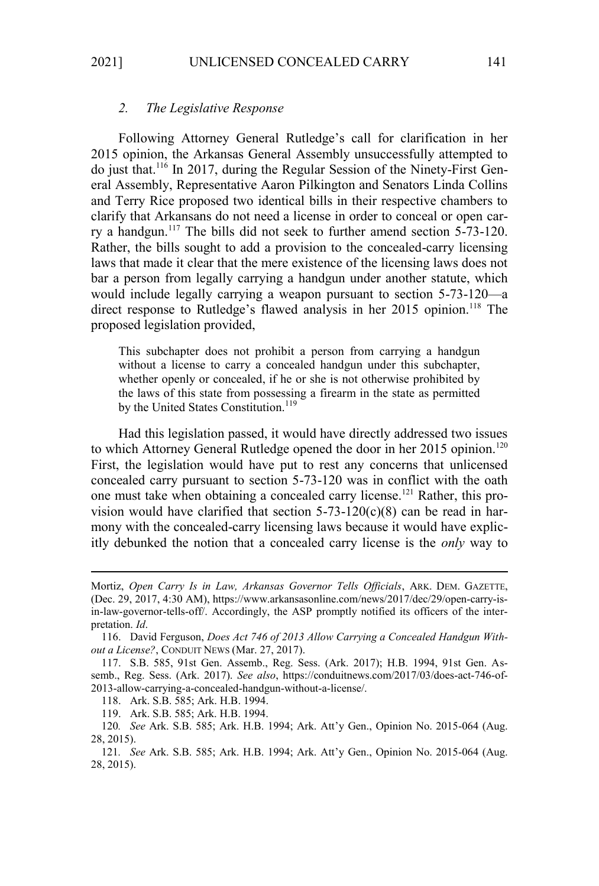## *2. The Legislative Response*

Following Attorney General Rutledge's call for clarification in her 2015 opinion, the Arkansas General Assembly unsuccessfully attempted to do just that.116 In 2017, during the Regular Session of the Ninety-First General Assembly, Representative Aaron Pilkington and Senators Linda Collins and Terry Rice proposed two identical bills in their respective chambers to clarify that Arkansans do not need a license in order to conceal or open carry a handgun.<sup>117</sup> The bills did not seek to further amend section 5-73-120. Rather, the bills sought to add a provision to the concealed-carry licensing laws that made it clear that the mere existence of the licensing laws does not bar a person from legally carrying a handgun under another statute, which would include legally carrying a weapon pursuant to section 5-73-120—a direct response to Rutledge's flawed analysis in her 2015 opinion.<sup>118</sup> The proposed legislation provided,

This subchapter does not prohibit a person from carrying a handgun without a license to carry a concealed handgun under this subchapter, whether openly or concealed, if he or she is not otherwise prohibited by the laws of this state from possessing a firearm in the state as permitted by the United States Constitution.<sup>119</sup>

Had this legislation passed, it would have directly addressed two issues to which Attorney General Rutledge opened the door in her 2015 opinion.<sup>120</sup> First, the legislation would have put to rest any concerns that unlicensed concealed carry pursuant to section 5-73-120 was in conflict with the oath one must take when obtaining a concealed carry license.121 Rather, this provision would have clarified that section  $5-73-120(c)(8)$  can be read in harmony with the concealed-carry licensing laws because it would have explicitly debunked the notion that a concealed carry license is the *only* way to

Mortiz, *Open Carry Is in Law, Arkansas Governor Tells Officials*, ARK. DEM. GAZETTE, (Dec. 29, 2017, 4:30 AM), https://www.arkansasonline.com/news/2017/dec/29/open-carry-isin-law-governor-tells-off/. Accordingly, the ASP promptly notified its officers of the interpretation. *Id*.

<sup>116.</sup> David Ferguson, *Does Act 746 of 2013 Allow Carrying a Concealed Handgun Without a License?*, CONDUIT NEWS (Mar. 27, 2017).

<sup>117.</sup> S.B. 585, 91st Gen. Assemb., Reg. Sess. (Ark. 2017); H.B. 1994, 91st Gen. Assemb., Reg. Sess. (Ark. 2017). *See also*, https://conduitnews.com/2017/03/does-act-746-of-2013-allow-carrying-a-concealed-handgun-without-a-license/.

<sup>118.</sup> Ark. S.B. 585; Ark. H.B. 1994.

<sup>119.</sup> Ark. S.B. 585; Ark. H.B. 1994.

<sup>120</sup>*. See* Ark. S.B. 585; Ark. H.B. 1994; Ark. Att'y Gen., Opinion No. 2015-064 (Aug. 28, 2015).

<sup>121</sup>*. See* Ark. S.B. 585; Ark. H.B. 1994; Ark. Att'y Gen., Opinion No. 2015-064 (Aug. 28, 2015).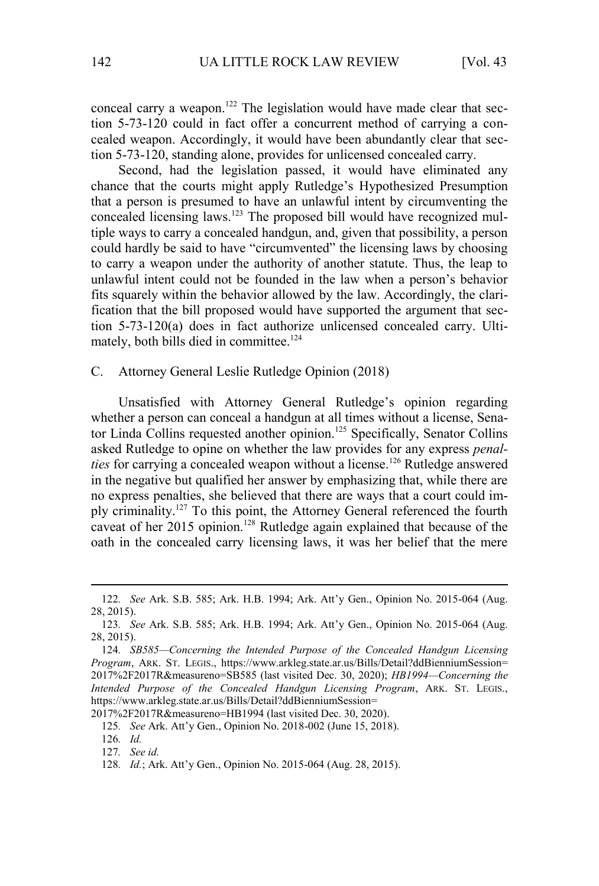conceal carry a weapon.<sup>122</sup> The legislation would have made clear that section 5-73-120 could in fact offer a concurrent method of carrying a concealed weapon. Accordingly, it would have been abundantly clear that section 5-73-120, standing alone, provides for unlicensed concealed carry.

Second, had the legislation passed, it would have eliminated any chance that the courts might apply Rutledge's Hypothesized Presumption that a person is presumed to have an unlawful intent by circumventing the concealed licensing laws.<sup>123</sup> The proposed bill would have recognized multiple ways to carry a concealed handgun, and, given that possibility, a person could hardly be said to have "circumvented" the licensing laws by choosing to carry a weapon under the authority of another statute. Thus, the leap to unlawful intent could not be founded in the law when a person's behavior fits squarely within the behavior allowed by the law. Accordingly, the clarification that the bill proposed would have supported the argument that section 5-73-120(a) does in fact authorize unlicensed concealed carry. Ultimately, both bills died in committee.<sup>124</sup>

## C. Attorney General Leslie Rutledge Opinion (2018)

Unsatisfied with Attorney General Rutledge's opinion regarding whether a person can conceal a handgun at all times without a license, Senator Linda Collins requested another opinion.<sup>125</sup> Specifically, Senator Collins asked Rutledge to opine on whether the law provides for any express *penalties* for carrying a concealed weapon without a license.<sup>126</sup> Rutledge answered in the negative but qualified her answer by emphasizing that, while there are no express penalties, she believed that there are ways that a court could imply criminality.<sup>127</sup> To this point, the Attorney General referenced the fourth caveat of her 2015 opinion.<sup>128</sup> Rutledge again explained that because of the oath in the concealed carry licensing laws, it was her belief that the mere

2017%2F2017R&measureno=HB1994 (last visited Dec. 30, 2020).

126*. Id.*

127*. See id.*

<sup>122</sup>*. See* Ark. S.B. 585; Ark. H.B. 1994; Ark. Att'y Gen., Opinion No. 2015-064 (Aug. 28, 2015).

<sup>123</sup>*. See* Ark. S.B. 585; Ark. H.B. 1994; Ark. Att'y Gen., Opinion No. 2015-064 (Aug. 28, 2015).

<sup>124</sup>*. SB585—Concerning the Intended Purpose of the Concealed Handgun Licensing Program*, ARK. ST. LEGIS., https://www.arkleg.state.ar.us/Bills/Detail?ddBienniumSession= 2017%2F2017R&measureno=SB585 (last visited Dec. 30, 2020); *HB1994—Concerning the Intended Purpose of the Concealed Handgun Licensing Program*, ARK. ST. LEGIS., https://www.arkleg.state.ar.us/Bills/Detail?ddBienniumSession=

<sup>125</sup>*. See* Ark. Att'y Gen., Opinion No. 2018-002 (June 15, 2018).

<sup>128</sup>*. Id.*; Ark. Att'y Gen., Opinion No. 2015-064 (Aug. 28, 2015).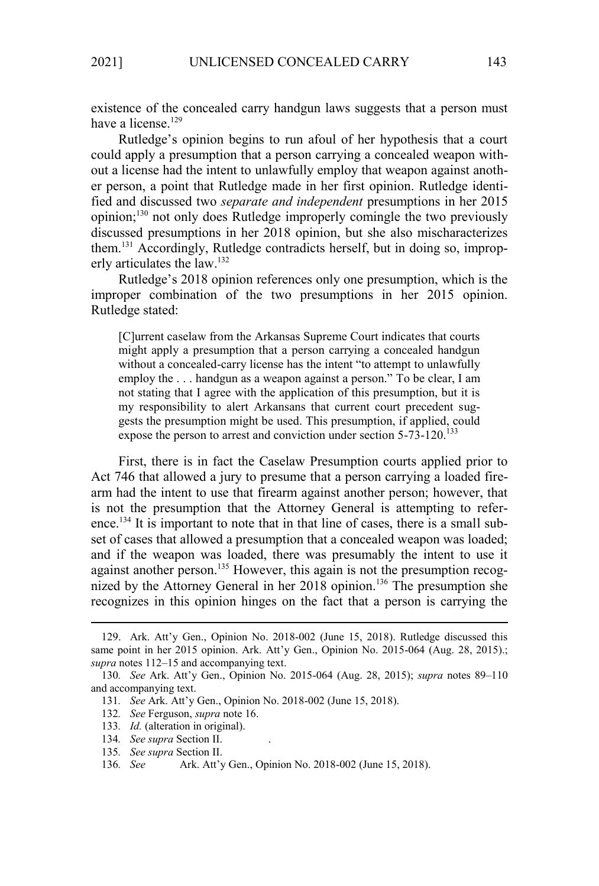existence of the concealed carry handgun laws suggests that a person must have a license.<sup>129</sup>

Rutledge's opinion begins to run afoul of her hypothesis that a court could apply a presumption that a person carrying a concealed weapon without a license had the intent to unlawfully employ that weapon against another person, a point that Rutledge made in her first opinion. Rutledge identified and discussed two *separate and independent* presumptions in her 2015 opinion;<sup>130</sup> not only does Rutledge improperly comingle the two previously discussed presumptions in her 2018 opinion, but she also mischaracterizes them.<sup>131</sup> Accordingly, Rutledge contradicts herself, but in doing so, improperly articulates the law.<sup>132</sup>

Rutledge's 2018 opinion references only one presumption, which is the improper combination of the two presumptions in her 2015 opinion. Rutledge stated:

[C]urrent caselaw from the Arkansas Supreme Court indicates that courts might apply a presumption that a person carrying a concealed handgun without a concealed-carry license has the intent "to attempt to unlawfully employ the . . . handgun as a weapon against a person." To be clear, I am not stating that I agree with the application of this presumption, but it is my responsibility to alert Arkansans that current court precedent suggests the presumption might be used. This presumption, if applied, could expose the person to arrest and conviction under section  $5-73-120$ .<sup>133</sup>

First, there is in fact the Caselaw Presumption courts applied prior to Act 746 that allowed a jury to presume that a person carrying a loaded firearm had the intent to use that firearm against another person; however, that is not the presumption that the Attorney General is attempting to reference.<sup>134</sup> It is important to note that in that line of cases, there is a small subset of cases that allowed a presumption that a concealed weapon was loaded; and if the weapon was loaded, there was presumably the intent to use it against another person.<sup>135</sup> However, this again is not the presumption recognized by the Attorney General in her  $2018$  opinion.<sup>136</sup> The presumption she recognizes in this opinion hinges on the fact that a person is carrying the

- 133*. Id.* (alteration in original).
- 134*. See supra* Section II. .
- 135*. See supra* Section II.

<sup>129.</sup> Ark. Att'y Gen., Opinion No. 2018-002 (June 15, 2018). Rutledge discussed this same point in her 2015 opinion. Ark. Att'y Gen., Opinion No. 2015-064 (Aug. 28, 2015).; *supra* notes 112–15 and accompanying text.

<sup>130</sup>*. See* Ark. Att'y Gen., Opinion No. 2015-064 (Aug. 28, 2015); *supra* notes 89–110 and accompanying text.

<sup>131</sup>*. See* Ark. Att'y Gen., Opinion No. 2018-002 (June 15, 2018).

<sup>132</sup>*. See* Ferguson, *supra* note 16.

<sup>136</sup>*. See* Ark. Att'y Gen., Opinion No. 2018-002 (June 15, 2018).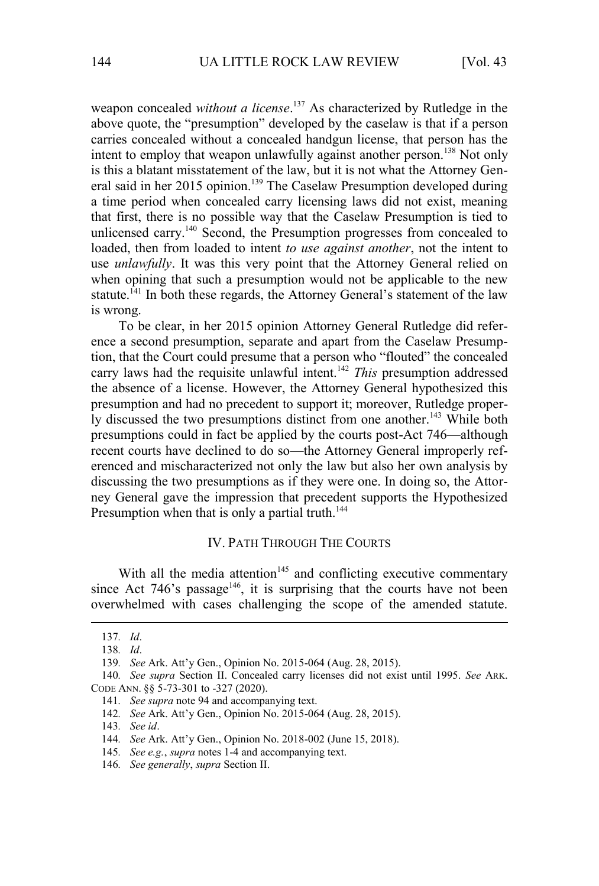weapon concealed *without a license*. <sup>137</sup> As characterized by Rutledge in the above quote, the "presumption" developed by the caselaw is that if a person carries concealed without a concealed handgun license, that person has the intent to employ that weapon unlawfully against another person.<sup>138</sup> Not only is this a blatant misstatement of the law, but it is not what the Attorney General said in her 2015 opinion.<sup>139</sup> The Caselaw Presumption developed during a time period when concealed carry licensing laws did not exist, meaning that first, there is no possible way that the Caselaw Presumption is tied to unlicensed carry.<sup>140</sup> Second, the Presumption progresses from concealed to loaded, then from loaded to intent *to use against another*, not the intent to use *unlawfully*. It was this very point that the Attorney General relied on when opining that such a presumption would not be applicable to the new statute.<sup>141</sup> In both these regards, the Attorney General's statement of the law is wrong.

To be clear, in her 2015 opinion Attorney General Rutledge did reference a second presumption, separate and apart from the Caselaw Presumption, that the Court could presume that a person who "flouted" the concealed carry laws had the requisite unlawful intent.<sup>142</sup> *This* presumption addressed the absence of a license. However, the Attorney General hypothesized this presumption and had no precedent to support it; moreover, Rutledge properly discussed the two presumptions distinct from one another.<sup>143</sup> While both presumptions could in fact be applied by the courts post-Act 746—although recent courts have declined to do so—the Attorney General improperly referenced and mischaracterized not only the law but also her own analysis by discussing the two presumptions as if they were one. In doing so, the Attorney General gave the impression that precedent supports the Hypothesized Presumption when that is only a partial truth.<sup>144</sup>

## IV. PATH THROUGH THE COURTS

With all the media attention<sup>145</sup> and conflicting executive commentary since Act 746's passage<sup>146</sup>, it is surprising that the courts have not been overwhelmed with cases challenging the scope of the amended statute.

145*. See e.g.*, *supra* notes 1-4 and accompanying text.

<sup>137</sup>*. Id*.

<sup>138</sup>*. Id*.

<sup>139</sup>*. See* Ark. Att'y Gen., Opinion No. 2015-064 (Aug. 28, 2015).

<sup>140</sup>*. See supra* Section II. Concealed carry licenses did not exist until 1995. *See* ARK. CODE ANN. §§ 5-73-301 to -327 (2020).

<sup>141</sup>*. See supra* note 94 and accompanying text.

<sup>142</sup>*. See* Ark. Att'y Gen., Opinion No. 2015-064 (Aug. 28, 2015).

<sup>143</sup>*. See id*.

<sup>144</sup>*. See* Ark. Att'y Gen., Opinion No. 2018-002 (June 15, 2018).

<sup>146</sup>*. See generally*, *supra* Section II.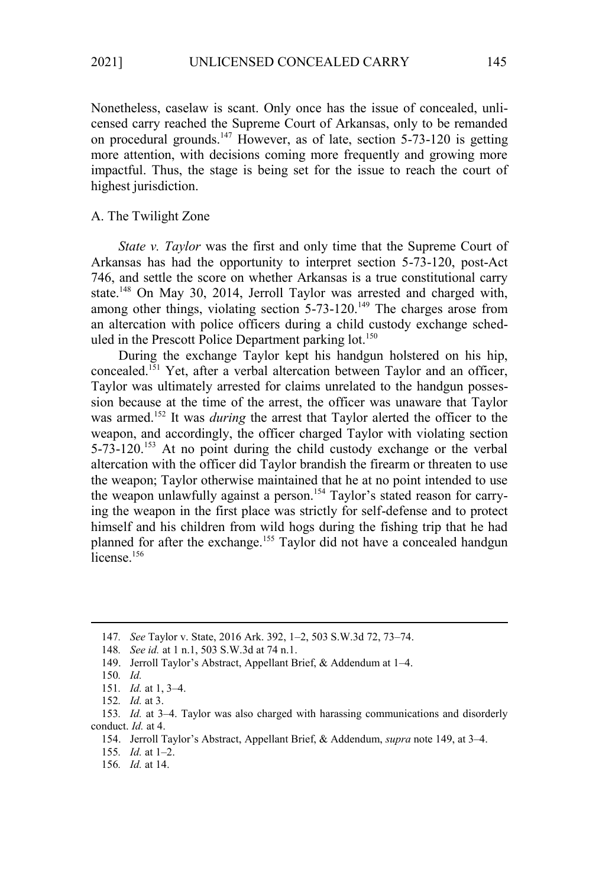Nonetheless, caselaw is scant. Only once has the issue of concealed, unlicensed carry reached the Supreme Court of Arkansas, only to be remanded on procedural grounds.<sup>147</sup> However, as of late, section 5-73-120 is getting more attention, with decisions coming more frequently and growing more impactful. Thus, the stage is being set for the issue to reach the court of highest jurisdiction.

## A. The Twilight Zone

*State v. Taylor* was the first and only time that the Supreme Court of Arkansas has had the opportunity to interpret section 5-73-120, post-Act 746, and settle the score on whether Arkansas is a true constitutional carry state.<sup>148</sup> On May 30, 2014, Jerroll Taylor was arrested and charged with, among other things, violating section  $5-73-120$ .<sup>149</sup> The charges arose from an altercation with police officers during a child custody exchange scheduled in the Prescott Police Department parking lot.<sup>150</sup>

During the exchange Taylor kept his handgun holstered on his hip, concealed.<sup>151</sup> Yet, after a verbal altercation between Taylor and an officer, Taylor was ultimately arrested for claims unrelated to the handgun possession because at the time of the arrest, the officer was unaware that Taylor was armed.<sup>152</sup> It was *during* the arrest that Taylor alerted the officer to the weapon, and accordingly, the officer charged Taylor with violating section 5-73-120.<sup>153</sup> At no point during the child custody exchange or the verbal altercation with the officer did Taylor brandish the firearm or threaten to use the weapon; Taylor otherwise maintained that he at no point intended to use the weapon unlawfully against a person.<sup>154</sup> Taylor's stated reason for carrying the weapon in the first place was strictly for self-defense and to protect himself and his children from wild hogs during the fishing trip that he had planned for after the exchange.<sup>155</sup> Taylor did not have a concealed handgun  $\hat{a}$ license.<sup>156</sup>

<sup>147</sup>*. See* Taylor v. State, 2016 Ark. 392, 1–2, 503 S.W.3d 72, 73–74.

<sup>148</sup>*. See id.* at 1 n.1, 503 S.W.3d at 74 n.1.

<sup>149.</sup> Jerroll Taylor's Abstract, Appellant Brief, & Addendum at 1–4.

<sup>150</sup>*. Id.*

<sup>151</sup>*. Id.* at 1, 3–4.

<sup>152</sup>*. Id.* at 3.

<sup>153</sup>*. Id.* at 3–4. Taylor was also charged with harassing communications and disorderly conduct. *Id.* at 4.

<sup>154.</sup> Jerroll Taylor's Abstract, Appellant Brief, & Addendum, *supra* note 149, at 3–4.

<sup>155</sup>*. Id.* at 1–2.

<sup>156</sup>*. Id.* at 14.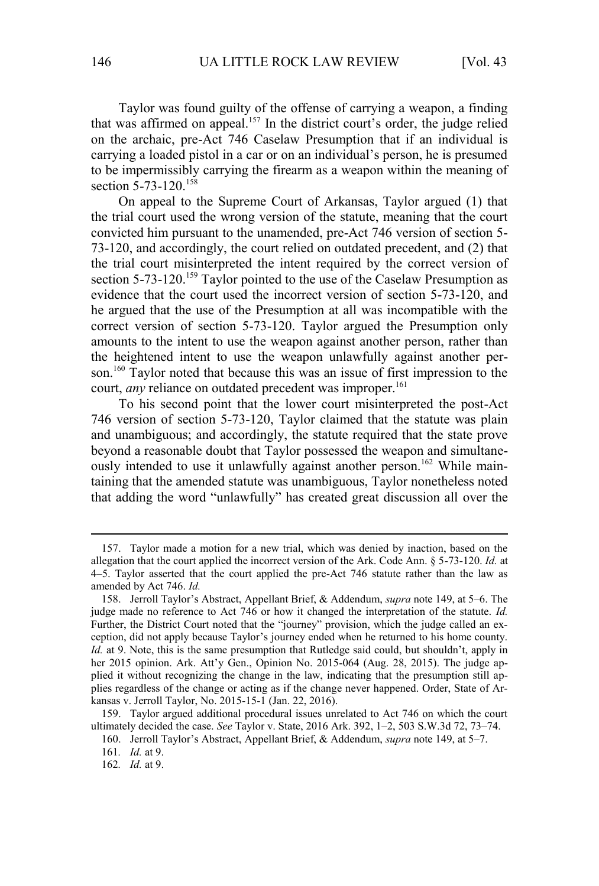Taylor was found guilty of the offense of carrying a weapon, a finding that was affirmed on appeal.<sup>157</sup> In the district court's order, the judge relied on the archaic, pre-Act 746 Caselaw Presumption that if an individual is carrying a loaded pistol in a car or on an individual's person, he is presumed to be impermissibly carrying the firearm as a weapon within the meaning of section 5-73-120.<sup>158</sup>

On appeal to the Supreme Court of Arkansas, Taylor argued (1) that the trial court used the wrong version of the statute, meaning that the court convicted him pursuant to the unamended, pre-Act 746 version of section 5- 73-120, and accordingly, the court relied on outdated precedent, and (2) that the trial court misinterpreted the intent required by the correct version of section  $5-73-120$ .<sup>159</sup> Taylor pointed to the use of the Caselaw Presumption as evidence that the court used the incorrect version of section 5-73-120, and he argued that the use of the Presumption at all was incompatible with the correct version of section 5-73-120. Taylor argued the Presumption only amounts to the intent to use the weapon against another person, rather than the heightened intent to use the weapon unlawfully against another person.<sup>160</sup> Taylor noted that because this was an issue of first impression to the court, *any* reliance on outdated precedent was improper.<sup>161</sup>

To his second point that the lower court misinterpreted the post-Act 746 version of section 5-73-120, Taylor claimed that the statute was plain and unambiguous; and accordingly, the statute required that the state prove beyond a reasonable doubt that Taylor possessed the weapon and simultaneously intended to use it unlawfully against another person.<sup>162</sup> While maintaining that the amended statute was unambiguous, Taylor nonetheless noted that adding the word "unlawfully" has created great discussion all over the

<sup>157.</sup> Taylor made a motion for a new trial, which was denied by inaction, based on the allegation that the court applied the incorrect version of the Ark. Code Ann. § 5-73-120. *Id.* at 4–5. Taylor asserted that the court applied the pre-Act 746 statute rather than the law as amended by Act 746. *Id.*

<sup>158.</sup> Jerroll Taylor's Abstract, Appellant Brief, & Addendum, *supra* note 149, at 5–6. The judge made no reference to Act 746 or how it changed the interpretation of the statute. *Id.* Further, the District Court noted that the "journey" provision, which the judge called an exception, did not apply because Taylor's journey ended when he returned to his home county. *Id.* at 9. Note, this is the same presumption that Rutledge said could, but shouldn't, apply in her 2015 opinion. Ark. Att'y Gen., Opinion No. 2015-064 (Aug. 28, 2015). The judge applied it without recognizing the change in the law, indicating that the presumption still applies regardless of the change or acting as if the change never happened. Order, State of Arkansas v. Jerroll Taylor, No. 2015-15-1 (Jan. 22, 2016).

<sup>159.</sup> Taylor argued additional procedural issues unrelated to Act 746 on which the court ultimately decided the case. *See* Taylor v. State, 2016 Ark. 392, 1–2, 503 S.W.3d 72, 73–74.

<sup>160.</sup> Jerroll Taylor's Abstract, Appellant Brief, & Addendum, *supra* note 149, at 5–7.

<sup>161</sup>*. Id.* at 9.

<sup>162</sup>*. Id.* at 9.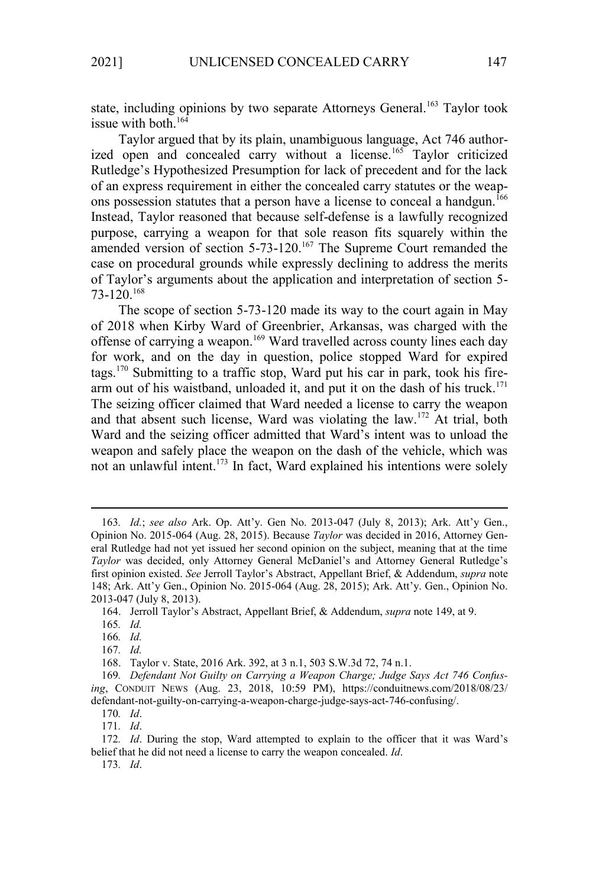state, including opinions by two separate Attorneys General.<sup>163</sup> Taylor took issue with both.<sup>164</sup>

Taylor argued that by its plain, unambiguous language, Act 746 authorized open and concealed carry without a license.<sup>165</sup> Taylor criticized Rutledge's Hypothesized Presumption for lack of precedent and for the lack of an express requirement in either the concealed carry statutes or the weapons possession statutes that a person have a license to conceal a handgun.<sup>166</sup> Instead, Taylor reasoned that because self-defense is a lawfully recognized purpose, carrying a weapon for that sole reason fits squarely within the amended version of section 5-73-120.<sup>167</sup> The Supreme Court remanded the case on procedural grounds while expressly declining to address the merits of Taylor's arguments about the application and interpretation of section 5-  $73-120$ <sup>168</sup>

The scope of section 5-73-120 made its way to the court again in May of 2018 when Kirby Ward of Greenbrier, Arkansas, was charged with the offense of carrying a weapon.<sup>169</sup> Ward travelled across county lines each day for work, and on the day in question, police stopped Ward for expired tags.170 Submitting to a traffic stop, Ward put his car in park, took his firearm out of his waistband, unloaded it, and put it on the dash of his truck.<sup>171</sup> The seizing officer claimed that Ward needed a license to carry the weapon and that absent such license, Ward was violating the law.<sup>172</sup> At trial, both Ward and the seizing officer admitted that Ward's intent was to unload the weapon and safely place the weapon on the dash of the vehicle, which was not an unlawful intent.<sup>173</sup> In fact, Ward explained his intentions were solely

173*. Id*.

<sup>163</sup>*. Id.*; *see also* Ark. Op. Att'y. Gen No. 2013-047 (July 8, 2013); Ark. Att'y Gen., Opinion No. 2015-064 (Aug. 28, 2015). Because *Taylor* was decided in 2016, Attorney General Rutledge had not yet issued her second opinion on the subject, meaning that at the time *Taylor* was decided, only Attorney General McDaniel's and Attorney General Rutledge's first opinion existed. *See* Jerroll Taylor's Abstract, Appellant Brief, & Addendum, *supra* note 148; Ark. Att'y Gen., Opinion No. 2015-064 (Aug. 28, 2015); Ark. Att'y. Gen., Opinion No. 2013-047 (July 8, 2013).

<sup>164.</sup> Jerroll Taylor's Abstract, Appellant Brief, & Addendum, *supra* note 149, at 9.

<sup>165</sup>*. Id.*

<sup>166</sup>*. Id.*

<sup>167</sup>*. Id.*

<sup>168.</sup> Taylor v. State, 2016 Ark. 392, at 3 n.1, 503 S.W.3d 72, 74 n.1.

<sup>169</sup>*. Defendant Not Guilty on Carrying a Weapon Charge; Judge Says Act 746 Confusing*, CONDUIT NEWS (Aug. 23, 2018, 10:59 PM), https://conduitnews.com/2018/08/23/ defendant-not-guilty-on-carrying-a-weapon-charge-judge-says-act-746-confusing/.

<sup>170</sup>*. Id*.

<sup>171</sup>*. Id*.

<sup>172</sup>*. Id*. During the stop, Ward attempted to explain to the officer that it was Ward's belief that he did not need a license to carry the weapon concealed. *Id*.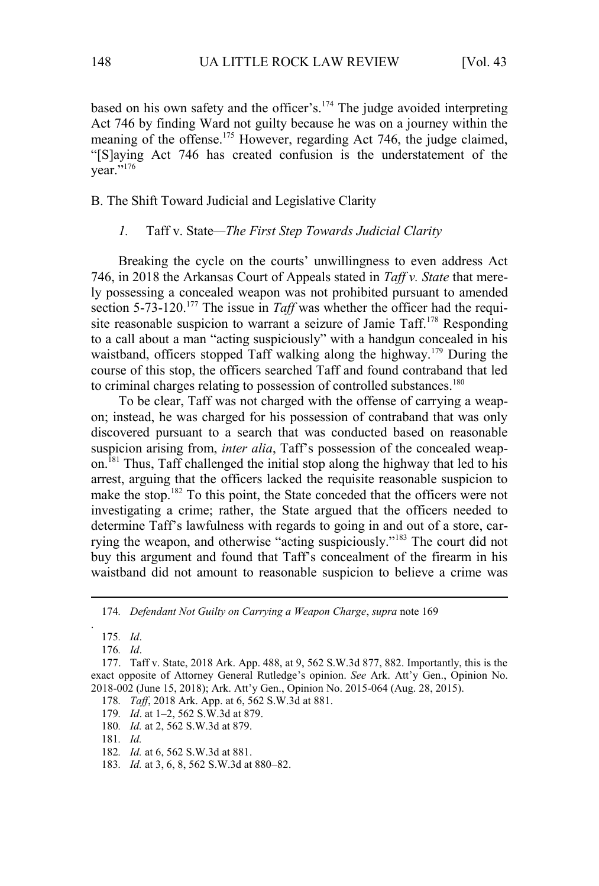based on his own safety and the officer's.<sup>174</sup> The judge avoided interpreting Act 746 by finding Ward not guilty because he was on a journey within the meaning of the offense.<sup>175</sup> However, regarding Act 746, the judge claimed, "[S]aying Act 746 has created confusion is the understatement of the vear."<sup>176</sup>

## B. The Shift Toward Judicial and Legislative Clarity

## *1.* Taff v. State*—The First Step Towards Judicial Clarity*

Breaking the cycle on the courts' unwillingness to even address Act 746, in 2018 the Arkansas Court of Appeals stated in *Taff v. State* that merely possessing a concealed weapon was not prohibited pursuant to amended section 5-73-120.<sup>177</sup> The issue in *Taff* was whether the officer had the requisite reasonable suspicion to warrant a seizure of Jamie Taff.<sup>178</sup> Responding to a call about a man "acting suspiciously" with a handgun concealed in his waistband, officers stopped Taff walking along the highway.<sup>179</sup> During the course of this stop, the officers searched Taff and found contraband that led to criminal charges relating to possession of controlled substances.<sup>180</sup>

To be clear, Taff was not charged with the offense of carrying a weapon; instead, he was charged for his possession of contraband that was only discovered pursuant to a search that was conducted based on reasonable suspicion arising from, *inter alia*, Taff's possession of the concealed weapon.<sup>181</sup> Thus, Taff challenged the initial stop along the highway that led to his arrest, arguing that the officers lacked the requisite reasonable suspicion to make the stop.<sup>182</sup> To this point, the State conceded that the officers were not investigating a crime; rather, the State argued that the officers needed to determine Taff's lawfulness with regards to going in and out of a store, carrying the weapon, and otherwise "acting suspiciously."<sup>183</sup> The court did not buy this argument and found that Taff's concealment of the firearm in his waistband did not amount to reasonable suspicion to believe a crime was

.

- 178*. Taff*, 2018 Ark. App. at 6, 562 S.W.3d at 881.
- 179*. Id*. at 1–2, 562 S.W.3d at 879.
- 180*. Id.* at 2, 562 S.W.3d at 879.
- 181*. Id.*
- 182*. Id.* at 6, 562 S.W.3d at 881.
- 183*. Id.* at 3, 6, 8, 562 S.W.3d at 880–82.

<sup>174</sup>*. Defendant Not Guilty on Carrying a Weapon Charge*, *supra* note 169

<sup>175</sup>*. Id*.

<sup>176</sup>*. Id*.

<sup>177.</sup> Taff v. State, 2018 Ark. App. 488, at 9, 562 S.W.3d 877, 882. Importantly, this is the exact opposite of Attorney General Rutledge's opinion. *See* Ark. Att'y Gen., Opinion No. 2018-002 (June 15, 2018); Ark. Att'y Gen., Opinion No. 2015-064 (Aug. 28, 2015).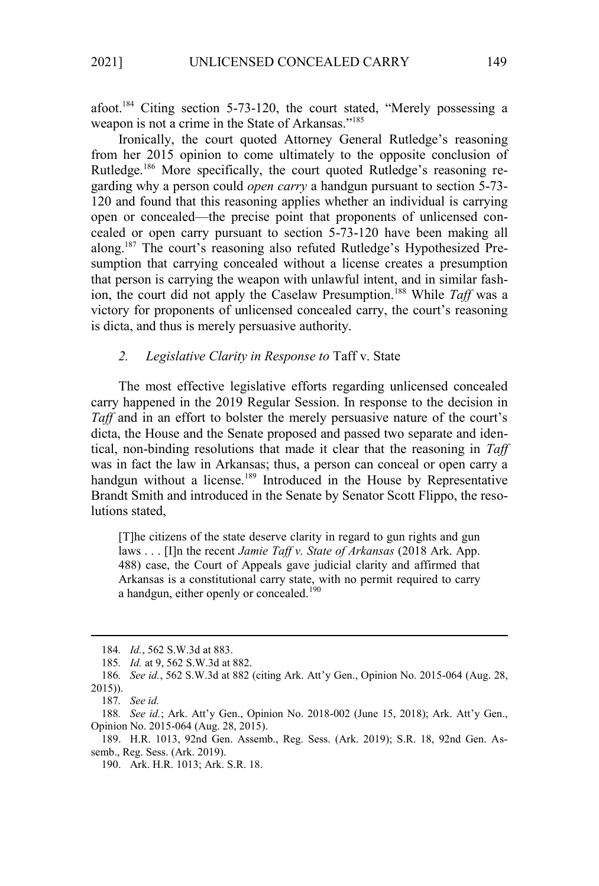afoot.<sup>184</sup> Citing section 5-73-120, the court stated, "Merely possessing a weapon is not a crime in the State of Arkansas."<sup>185</sup>

Ironically, the court quoted Attorney General Rutledge's reasoning from her 2015 opinion to come ultimately to the opposite conclusion of Rutledge.<sup>186</sup> More specifically, the court quoted Rutledge's reasoning regarding why a person could *open carry* a handgun pursuant to section 5-73- 120 and found that this reasoning applies whether an individual is carrying open or concealed—the precise point that proponents of unlicensed concealed or open carry pursuant to section 5-73-120 have been making all along.<sup>187</sup> The court's reasoning also refuted Rutledge's Hypothesized Presumption that carrying concealed without a license creates a presumption that person is carrying the weapon with unlawful intent, and in similar fashion, the court did not apply the Caselaw Presumption.<sup>188</sup> While *Taff* was a victory for proponents of unlicensed concealed carry, the court's reasoning is dicta, and thus is merely persuasive authority.

## *2. Legislative Clarity in Response to* Taff v. State

The most effective legislative efforts regarding unlicensed concealed carry happened in the 2019 Regular Session. In response to the decision in *Taff* and in an effort to bolster the merely persuasive nature of the court's dicta, the House and the Senate proposed and passed two separate and identical, non-binding resolutions that made it clear that the reasoning in *Taff*  was in fact the law in Arkansas; thus, a person can conceal or open carry a handgun without a license.<sup>189</sup> Introduced in the House by Representative Brandt Smith and introduced in the Senate by Senator Scott Flippo, the resolutions stated,

[T]he citizens of the state deserve clarity in regard to gun rights and gun laws . . . [I]n the recent *Jamie Taff v. State of Arkansas* (2018 Ark. App. 488) case, the Court of Appeals gave judicial clarity and affirmed that Arkansas is a constitutional carry state, with no permit required to carry a handgun, either openly or concealed.<sup>190</sup>

<sup>184</sup>*. Id.*, 562 S.W.3d at 883.

<sup>185</sup>*. Id.* at 9, 562 S.W.3d at 882.

<sup>186</sup>*. See id.*, 562 S.W.3d at 882 (citing Ark. Att'y Gen., Opinion No. 2015-064 (Aug. 28, 2015)).

<sup>187</sup>*. See id.*

<sup>188</sup>*. See id.*; Ark. Att'y Gen., Opinion No. 2018-002 (June 15, 2018); Ark. Att'y Gen., Opinion No. 2015-064 (Aug. 28, 2015).

<sup>189.</sup> H.R. 1013, 92nd Gen. Assemb., Reg. Sess. (Ark. 2019); S.R. 18, 92nd Gen. Assemb., Reg. Sess. (Ark. 2019).

<sup>190.</sup> Ark. H.R. 1013; Ark. S.R. 18.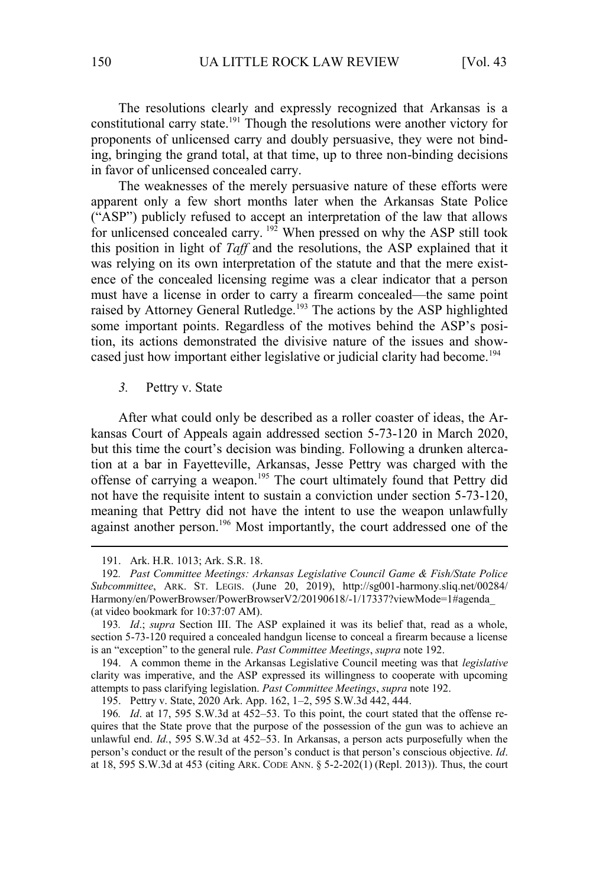The resolutions clearly and expressly recognized that Arkansas is a constitutional carry state.<sup>191</sup> Though the resolutions were another victory for proponents of unlicensed carry and doubly persuasive, they were not binding, bringing the grand total, at that time, up to three non-binding decisions in favor of unlicensed concealed carry.

The weaknesses of the merely persuasive nature of these efforts were apparent only a few short months later when the Arkansas State Police ("ASP") publicly refused to accept an interpretation of the law that allows for unlicensed concealed carry.  $192$  When pressed on why the ASP still took this position in light of *Taff* and the resolutions, the ASP explained that it was relying on its own interpretation of the statute and that the mere existence of the concealed licensing regime was a clear indicator that a person must have a license in order to carry a firearm concealed—the same point raised by Attorney General Rutledge.<sup>193</sup> The actions by the ASP highlighted some important points. Regardless of the motives behind the ASP's position, its actions demonstrated the divisive nature of the issues and showcased just how important either legislative or judicial clarity had become.<sup>194</sup>

*3.* Pettry v. State

After what could only be described as a roller coaster of ideas, the Arkansas Court of Appeals again addressed section 5-73-120 in March 2020, but this time the court's decision was binding. Following a drunken altercation at a bar in Fayetteville, Arkansas, Jesse Pettry was charged with the offense of carrying a weapon.<sup>195</sup> The court ultimately found that Pettry did not have the requisite intent to sustain a conviction under section 5-73-120, meaning that Pettry did not have the intent to use the weapon unlawfully against another person.<sup>196</sup> Most importantly, the court addressed one of the

194. A common theme in the Arkansas Legislative Council meeting was that *legislative* clarity was imperative, and the ASP expressed its willingness to cooperate with upcoming attempts to pass clarifying legislation. *Past Committee Meetings*, *supra* note 192.

195. Pettry v. State, 2020 Ark. App. 162, 1–2, 595 S.W.3d 442, 444.

<sup>191.</sup> Ark. H.R. 1013; Ark. S.R. 18.

<sup>192</sup>*. Past Committee Meetings: Arkansas Legislative Council Game & Fish/State Police Subcommittee*, ARK. ST. LEGIS. (June 20, 2019), http://sg001-harmony.sliq.net/00284/ Harmony/en/PowerBrowser/PowerBrowserV2/20190618/-1/17337?viewMode=1#agenda\_ (at video bookmark for 10:37:07 AM).

<sup>193</sup>*. Id*.; *supra* Section III. The ASP explained it was its belief that, read as a whole, section 5-73-120 required a concealed handgun license to conceal a firearm because a license is an "exception" to the general rule. *Past Committee Meetings*, *supra* note 192.

<sup>196</sup>*. Id*. at 17, 595 S.W.3d at 452–53. To this point, the court stated that the offense requires that the State prove that the purpose of the possession of the gun was to achieve an unlawful end. *Id.*, 595 S.W.3d at 452–53. In Arkansas, a person acts purposefully when the person's conduct or the result of the person's conduct is that person's conscious objective. *Id*. at 18, 595 S.W.3d at 453 (citing ARK. CODE ANN. § 5-2-202(1) (Repl. 2013)). Thus, the court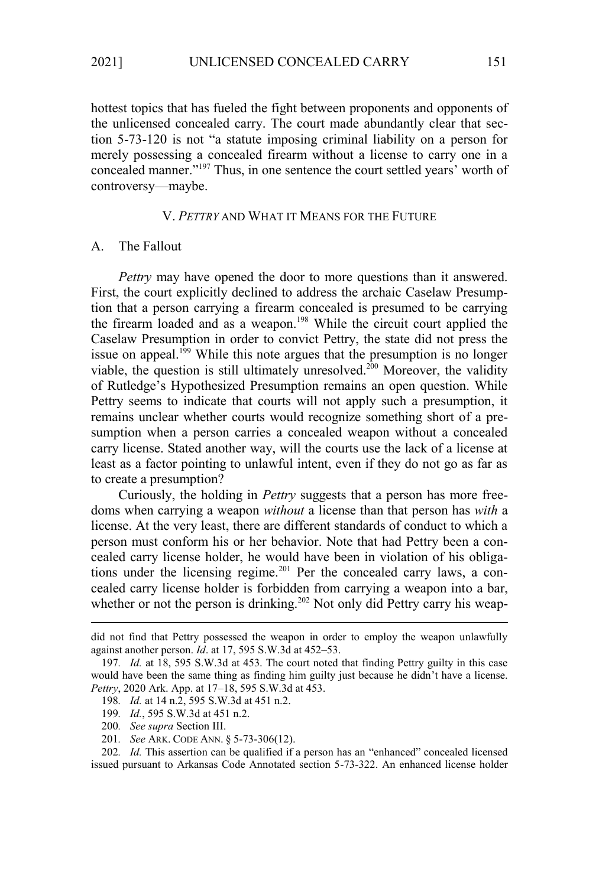hottest topics that has fueled the fight between proponents and opponents of the unlicensed concealed carry. The court made abundantly clear that section 5-73-120 is not "a statute imposing criminal liability on a person for merely possessing a concealed firearm without a license to carry one in a concealed manner."<sup>197</sup> Thus, in one sentence the court settled years' worth of controversy—maybe.

## V. *PETTRY* AND WHAT IT MEANS FOR THE FUTURE

## A. The Fallout

*Pettry* may have opened the door to more questions than it answered. First, the court explicitly declined to address the archaic Caselaw Presumption that a person carrying a firearm concealed is presumed to be carrying the firearm loaded and as a weapon.<sup>198</sup> While the circuit court applied the Caselaw Presumption in order to convict Pettry, the state did not press the issue on appeal.<sup>199</sup> While this note argues that the presumption is no longer viable, the question is still ultimately unresolved.<sup>200</sup> Moreover, the validity of Rutledge's Hypothesized Presumption remains an open question. While Pettry seems to indicate that courts will not apply such a presumption, it remains unclear whether courts would recognize something short of a presumption when a person carries a concealed weapon without a concealed carry license. Stated another way, will the courts use the lack of a license at least as a factor pointing to unlawful intent, even if they do not go as far as to create a presumption?

Curiously, the holding in *Pettry* suggests that a person has more freedoms when carrying a weapon *without* a license than that person has *with* a license. At the very least, there are different standards of conduct to which a person must conform his or her behavior. Note that had Pettry been a concealed carry license holder, he would have been in violation of his obligations under the licensing regime.<sup>201</sup> Per the concealed carry laws, a concealed carry license holder is forbidden from carrying a weapon into a bar, whether or not the person is drinking.<sup>202</sup> Not only did Pettry carry his weap-

201*. See* ARK. CODE ANN. § 5-73-306(12).

did not find that Pettry possessed the weapon in order to employ the weapon unlawfully against another person. *Id*. at 17, 595 S.W.3d at 452–53.

<sup>197</sup>*. Id.* at 18, 595 S.W.3d at 453. The court noted that finding Pettry guilty in this case would have been the same thing as finding him guilty just because he didn't have a license. *Pettry*, 2020 Ark. App. at 17–18, 595 S.W.3d at 453.

<sup>198</sup>*. Id.* at 14 n.2, 595 S.W.3d at 451 n.2.

<sup>199</sup>*. Id.*, 595 S.W.3d at 451 n.2.

<sup>200</sup>*. See supra* Section III.

<sup>202</sup>*. Id.* This assertion can be qualified if a person has an "enhanced" concealed licensed issued pursuant to Arkansas Code Annotated section 5-73-322. An enhanced license holder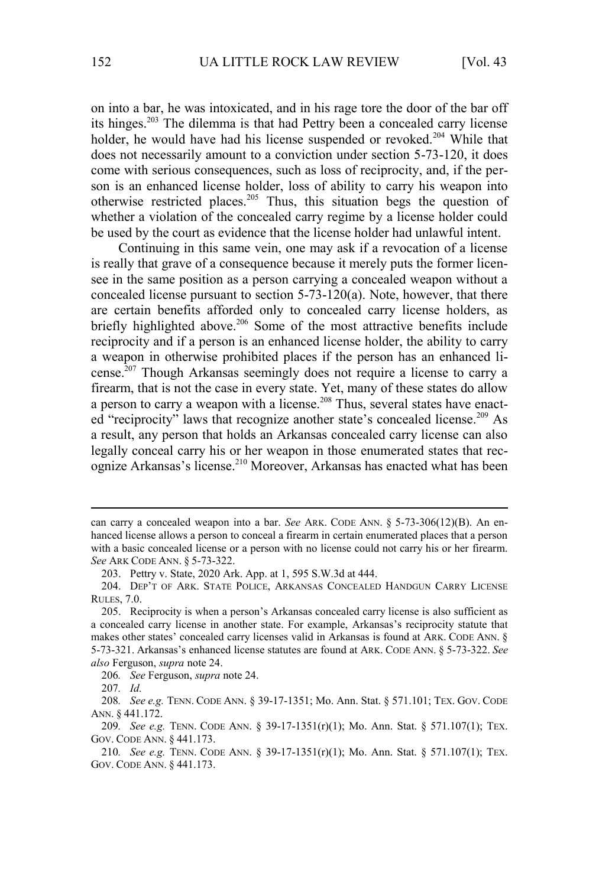on into a bar, he was intoxicated, and in his rage tore the door of the bar off its hinges.<sup>203</sup> The dilemma is that had Pettry been a concealed carry license holder, he would have had his license suspended or revoked.<sup>204</sup> While that does not necessarily amount to a conviction under section 5-73-120, it does come with serious consequences, such as loss of reciprocity, and, if the person is an enhanced license holder, loss of ability to carry his weapon into otherwise restricted places.<sup>205</sup> Thus, this situation begs the question of whether a violation of the concealed carry regime by a license holder could be used by the court as evidence that the license holder had unlawful intent.

Continuing in this same vein, one may ask if a revocation of a license is really that grave of a consequence because it merely puts the former licensee in the same position as a person carrying a concealed weapon without a concealed license pursuant to section 5-73-120(a). Note, however, that there are certain benefits afforded only to concealed carry license holders, as briefly highlighted above.<sup>206</sup> Some of the most attractive benefits include reciprocity and if a person is an enhanced license holder, the ability to carry a weapon in otherwise prohibited places if the person has an enhanced license.<sup>207</sup> Though Arkansas seemingly does not require a license to carry a firearm, that is not the case in every state. Yet, many of these states do allow a person to carry a weapon with a license.<sup>208</sup> Thus, several states have enacted "reciprocity" laws that recognize another state's concealed license.<sup>209</sup> As a result, any person that holds an Arkansas concealed carry license can also legally conceal carry his or her weapon in those enumerated states that recognize Arkansas's license.<sup>210</sup> Moreover, Arkansas has enacted what has been

can carry a concealed weapon into a bar. *See* ARK. CODE ANN. § 5-73-306(12)(B). An enhanced license allows a person to conceal a firearm in certain enumerated places that a person with a basic concealed license or a person with no license could not carry his or her firearm. *See* ARK CODE ANN. § 5-73-322.

<sup>203.</sup> Pettry v. State, 2020 Ark. App. at 1, 595 S.W.3d at 444.

<sup>204.</sup> DEP'T OF ARK. STATE POLICE, ARKANSAS CONCEALED HANDGUN CARRY LICENSE RULES, 7.0.

<sup>205.</sup> Reciprocity is when a person's Arkansas concealed carry license is also sufficient as a concealed carry license in another state. For example, Arkansas's reciprocity statute that makes other states' concealed carry licenses valid in Arkansas is found at ARK. CODE ANN. § 5-73-321. Arkansas's enhanced license statutes are found at ARK. CODE ANN. § 5-73-322. *See also* Ferguson, *supra* note 24.

<sup>206</sup>*. See* Ferguson, *supra* note 24.

<sup>207</sup>*. Id.*

<sup>208</sup>*. See e.g.* TENN. CODE ANN. § 39-17-1351; Mo. Ann. Stat. § 571.101; TEX. GOV. CODE ANN. § 441.172.

<sup>209</sup>*. See e.g.* TENN. CODE ANN. § 39-17-1351(r)(1); Mo. Ann. Stat. § 571.107(1); TEX. GOV. CODE ANN. § 441.173.

<sup>210</sup>*. See e.g.* TENN. CODE ANN. § 39-17-1351(r)(1); Mo. Ann. Stat. § 571.107(1); TEX. GOV. CODE ANN. § 441.173.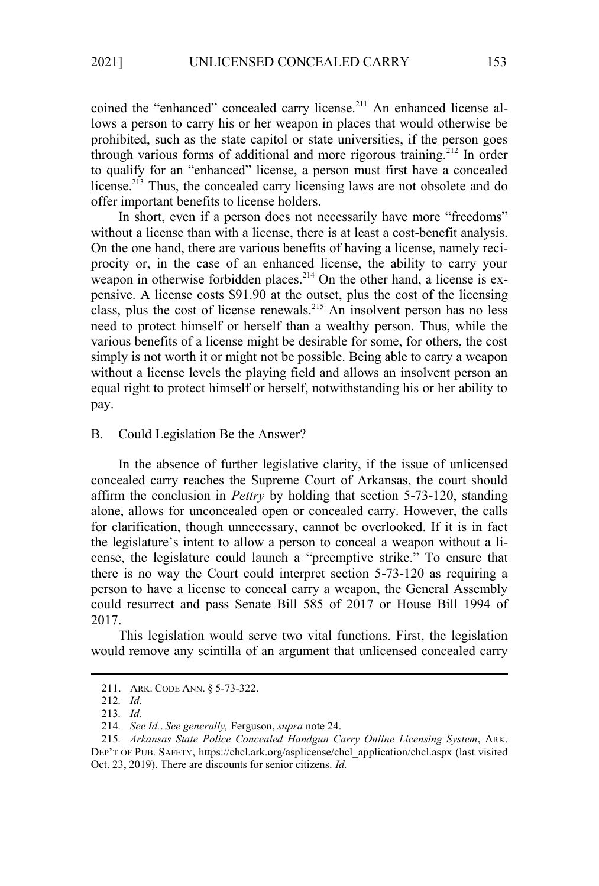coined the "enhanced" concealed carry license.<sup>211</sup> An enhanced license allows a person to carry his or her weapon in places that would otherwise be prohibited, such as the state capitol or state universities, if the person goes through various forms of additional and more rigorous training.<sup>212</sup> In order to qualify for an "enhanced" license, a person must first have a concealed license.<sup>213</sup> Thus, the concealed carry licensing laws are not obsolete and do offer important benefits to license holders.

In short, even if a person does not necessarily have more "freedoms" without a license than with a license, there is at least a cost-benefit analysis. On the one hand, there are various benefits of having a license, namely reciprocity or, in the case of an enhanced license, the ability to carry your weapon in otherwise forbidden places.<sup>214</sup> On the other hand, a license is expensive. A license costs \$91.90 at the outset, plus the cost of the licensing class, plus the cost of license renewals.<sup>215</sup> An insolvent person has no less need to protect himself or herself than a wealthy person. Thus, while the various benefits of a license might be desirable for some, for others, the cost simply is not worth it or might not be possible. Being able to carry a weapon without a license levels the playing field and allows an insolvent person an equal right to protect himself or herself, notwithstanding his or her ability to pay.

## B. Could Legislation Be the Answer?

In the absence of further legislative clarity, if the issue of unlicensed concealed carry reaches the Supreme Court of Arkansas, the court should affirm the conclusion in *Pettry* by holding that section 5-73-120, standing alone, allows for unconcealed open or concealed carry. However, the calls for clarification, though unnecessary, cannot be overlooked. If it is in fact the legislature's intent to allow a person to conceal a weapon without a license, the legislature could launch a "preemptive strike." To ensure that there is no way the Court could interpret section 5-73-120 as requiring a person to have a license to conceal carry a weapon, the General Assembly could resurrect and pass Senate Bill 585 of 2017 or House Bill 1994 of 2017.

This legislation would serve two vital functions. First, the legislation would remove any scintilla of an argument that unlicensed concealed carry

<sup>211.</sup> ARK. CODE ANN. § 5-73-322.

<sup>212</sup>*. Id.*

<sup>213</sup>*. Id.*

<sup>214</sup>*. See Id.*. *See generally,* Ferguson, *supra* note 24.

<sup>215</sup>*. Arkansas State Police Concealed Handgun Carry Online Licensing System*, ARK. DEP'T OF PUB. SAFETY, https://chcl.ark.org/asplicense/chcl\_application/chcl.aspx (last visited Oct. 23, 2019). There are discounts for senior citizens. *Id.*